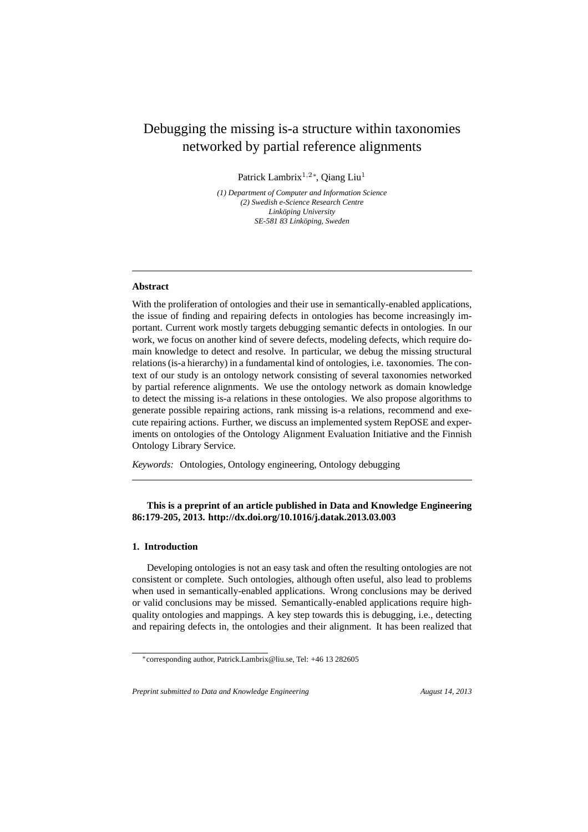# Debugging the missing is-a structure within taxonomies networked by partial reference alignments

Patrick Lambrix<sup>1,2</sup><sup>\*</sup>, Qiang Liu<sup>1</sup>

*(1) Department of Computer and Information Science (2) Swedish e-Science Research Centre Linkoping University ¨ SE-581 83 Linkoping, Sweden ¨*

# **Abstract**

With the proliferation of ontologies and their use in semantically-enabled applications, the issue of finding and repairing defects in ontologies has become increasingly important. Current work mostly targets debugging semantic defects in ontologies. In our work, we focus on another kind of severe defects, modeling defects, which require domain knowledge to detect and resolve. In particular, we debug the missing structural relations (is-a hierarchy) in a fundamental kind of ontologies, i.e. taxonomies. The context of our study is an ontology network consisting of several taxonomies networked by partial reference alignments. We use the ontology network as domain knowledge to detect the missing is-a relations in these ontologies. We also propose algorithms to generate possible repairing actions, rank missing is-a relations, recommend and execute repairing actions. Further, we discuss an implemented system RepOSE and experiments on ontologies of the Ontology Alignment Evaluation Initiative and the Finnish Ontology Library Service.

*Keywords:* Ontologies, Ontology engineering, Ontology debugging

# **This is a preprint of an article published in Data and Knowledge Engineering 86:179-205, 2013. http://dx.doi.org/10.1016/j.datak.2013.03.003**

# **1. Introduction**

Developing ontologies is not an easy task and often the resulting ontologies are not consistent or complete. Such ontologies, although often useful, also lead to problems when used in semantically-enabled applications. Wrong conclusions may be derived or valid conclusions may be missed. Semantically-enabled applications require highquality ontologies and mappings. A key step towards this is debugging, i.e., detecting and repairing defects in, the ontologies and their alignment. It has been realized that

*Preprint submitted to Data and Knowledge Engineering August 14, 2013* 

<sup>∗</sup>corresponding author, Patrick.Lambrix@liu.se, Tel: +46 13 282605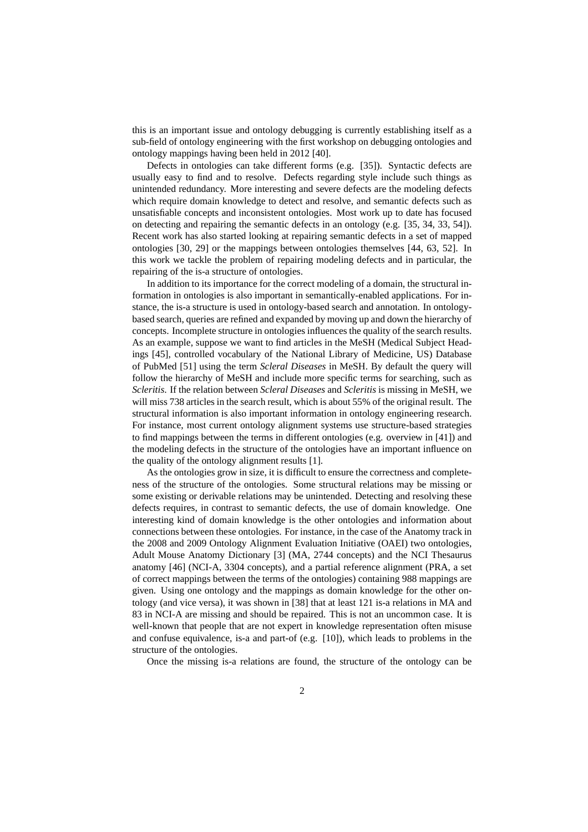this is an important issue and ontology debugging is currently establishing itself as a sub-field of ontology engineering with the first workshop on debugging ontologies and ontology mappings having been held in 2012 [40].

Defects in ontologies can take different forms (e.g. [35]). Syntactic defects are usually easy to find and to resolve. Defects regarding style include such things as unintended redundancy. More interesting and severe defects are the modeling defects which require domain knowledge to detect and resolve, and semantic defects such as unsatisfiable concepts and inconsistent ontologies. Most work up to date has focused on detecting and repairing the semantic defects in an ontology (e.g. [35, 34, 33, 54]). Recent work has also started looking at repairing semantic defects in a set of mapped ontologies [30, 29] or the mappings between ontologies themselves [44, 63, 52]. In this work we tackle the problem of repairing modeling defects and in particular, the repairing of the is-a structure of ontologies.

In addition to its importance for the correct modeling of a domain, the structural information in ontologies is also important in semantically-enabled applications. For instance, the is-a structure is used in ontology-based search and annotation. In ontologybased search, queries are refined and expanded by moving up and down the hierarchy of concepts. Incomplete structure in ontologies influences the quality of the search results. As an example, suppose we want to find articles in the MeSH (Medical Subject Headings [45], controlled vocabulary of the National Library of Medicine, US) Database of PubMed [51] using the term *Scleral Diseases* in MeSH. By default the query will follow the hierarchy of MeSH and include more specific terms for searching, such as *Scleritis*. If the relation between *Scleral Diseases* and *Scleritis* is missing in MeSH, we will miss 738 articles in the search result, which is about 55% of the original result. The structural information is also important information in ontology engineering research. For instance, most current ontology alignment systems use structure-based strategies to find mappings between the terms in different ontologies (e.g. overview in [41]) and the modeling defects in the structure of the ontologies have an important influence on the quality of the ontology alignment results [1].

As the ontologies grow in size, it is difficult to ensure the correctness and completeness of the structure of the ontologies. Some structural relations may be missing or some existing or derivable relations may be unintended. Detecting and resolving these defects requires, in contrast to semantic defects, the use of domain knowledge. One interesting kind of domain knowledge is the other ontologies and information about connections between these ontologies. For instance, in the case of the Anatomy track in the 2008 and 2009 Ontology Alignment Evaluation Initiative (OAEI) two ontologies, Adult Mouse Anatomy Dictionary [3] (MA, 2744 concepts) and the NCI Thesaurus anatomy [46] (NCI-A, 3304 concepts), and a partial reference alignment (PRA, a set of correct mappings between the terms of the ontologies) containing 988 mappings are given. Using one ontology and the mappings as domain knowledge for the other ontology (and vice versa), it was shown in [38] that at least 121 is-a relations in MA and 83 in NCI-A are missing and should be repaired. This is not an uncommon case. It is well-known that people that are not expert in knowledge representation often misuse and confuse equivalence, is-a and part-of (e.g. [10]), which leads to problems in the structure of the ontologies.

Once the missing is-a relations are found, the structure of the ontology can be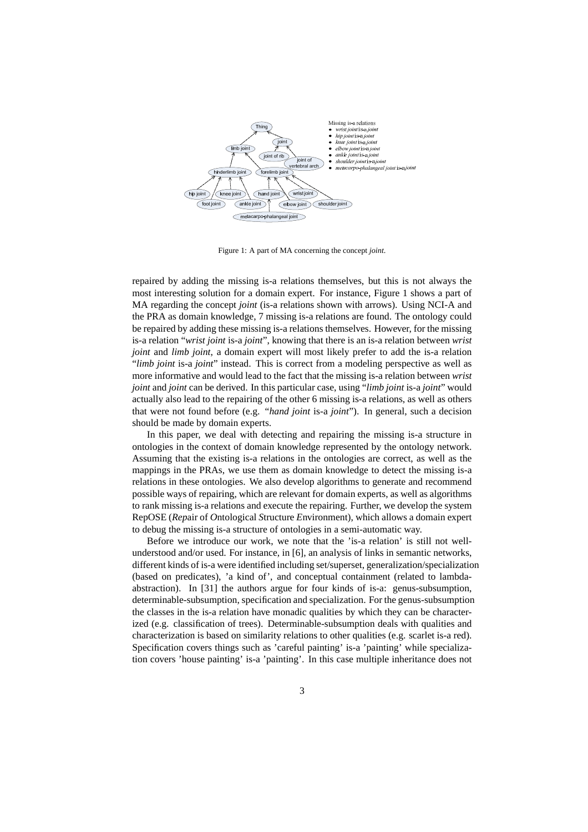

Figure 1: A part of MA concerning the concept *joint*.

repaired by adding the missing is-a relations themselves, but this is not always the most interesting solution for a domain expert. For instance, Figure 1 shows a part of MA regarding the concept *joint* (is-a relations shown with arrows). Using NCI-A and the PRA as domain knowledge, 7 missing is-a relations are found. The ontology could be repaired by adding these missing is-a relations themselves. However, for the missing is-a relation "*wrist joint* is-a *joint*", knowing that there is an is-a relation between *wrist joint* and *limb joint*, a domain expert will most likely prefer to add the is-a relation "*limb joint* is-a *joint*" instead. This is correct from a modeling perspective as well as more informative and would lead to the fact that the missing is-a relation between *wrist joint* and *joint* can be derived. In this particular case, using "*limb joint* is-a *joint*" would actually also lead to the repairing of the other 6 missing is-a relations, as well as others that were not found before (e.g. "*hand joint* is-a *joint*"). In general, such a decision should be made by domain experts.

In this paper, we deal with detecting and repairing the missing is-a structure in ontologies in the context of domain knowledge represented by the ontology network. Assuming that the existing is-a relations in the ontologies are correct, as well as the mappings in the PRAs, we use them as domain knowledge to detect the missing is-a relations in these ontologies. We also develop algorithms to generate and recommend possible ways of repairing, which are relevant for domain experts, as well as algorithms to rank missing is-a relations and execute the repairing. Further, we develop the system RepOSE (*Rep*air of *O*ntological *S*tructure *E*nvironment), which allows a domain expert to debug the missing is-a structure of ontologies in a semi-automatic way.

Before we introduce our work, we note that the 'is-a relation' is still not wellunderstood and/or used. For instance, in [6], an analysis of links in semantic networks, different kinds of is-a were identified including set/superset, generalization/specialization (based on predicates), 'a kind of', and conceptual containment (related to lambdaabstraction). In [31] the authors argue for four kinds of is-a: genus-subsumption, determinable-subsumption, specification and specialization. For the genus-subsumption the classes in the is-a relation have monadic qualities by which they can be characterized (e.g. classification of trees). Determinable-subsumption deals with qualities and characterization is based on similarity relations to other qualities (e.g. scarlet is-a red). Specification covers things such as 'careful painting' is-a 'painting' while specialization covers 'house painting' is-a 'painting'. In this case multiple inheritance does not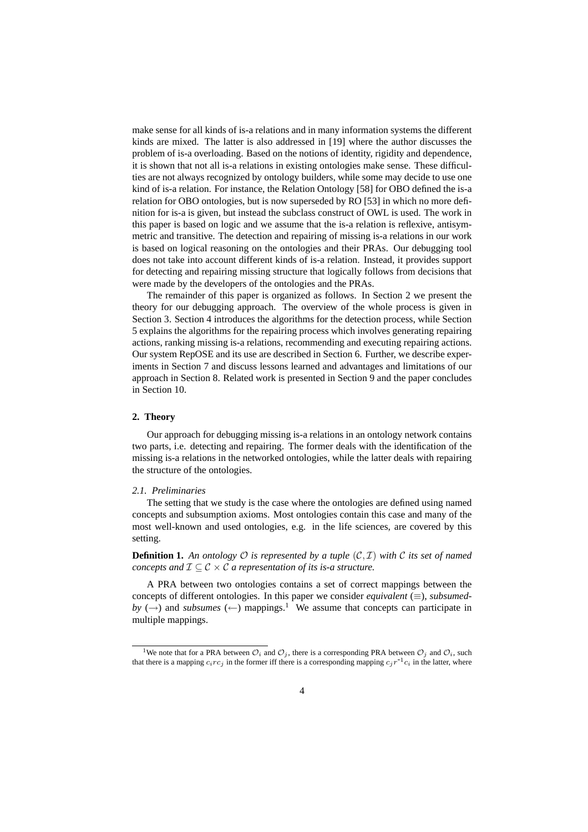make sense for all kinds of is-a relations and in many information systems the different kinds are mixed. The latter is also addressed in [19] where the author discusses the problem of is-a overloading. Based on the notions of identity, rigidity and dependence, it is shown that not all is-a relations in existing ontologies make sense. These difficulties are not always recognized by ontology builders, while some may decide to use one kind of is-a relation. For instance, the Relation Ontology [58] for OBO defined the is-a relation for OBO ontologies, but is now superseded by RO [53] in which no more definition for is-a is given, but instead the subclass construct of OWL is used. The work in this paper is based on logic and we assume that the is-a relation is reflexive, antisymmetric and transitive. The detection and repairing of missing is-a relations in our work is based on logical reasoning on the ontologies and their PRAs. Our debugging tool does not take into account different kinds of is-a relation. Instead, it provides support for detecting and repairing missing structure that logically follows from decisions that were made by the developers of the ontologies and the PRAs.

The remainder of this paper is organized as follows. In Section 2 we present the theory for our debugging approach. The overview of the whole process is given in Section 3. Section 4 introduces the algorithms for the detection process, while Section 5 explains the algorithms for the repairing process which involves generating repairing actions, ranking missing is-a relations, recommending and executing repairing actions. Our system RepOSE and its use are described in Section 6. Further, we describe experiments in Section 7 and discuss lessons learned and advantages and limitations of our approach in Section 8. Related work is presented in Section 9 and the paper concludes in Section 10.

# **2. Theory**

Our approach for debugging missing is-a relations in an ontology network contains two parts, i.e. detecting and repairing. The former deals with the identification of the missing is-a relations in the networked ontologies, while the latter deals with repairing the structure of the ontologies.

#### *2.1. Preliminaries*

The setting that we study is the case where the ontologies are defined using named concepts and subsumption axioms. Most ontologies contain this case and many of the most well-known and used ontologies, e.g. in the life sciences, are covered by this setting.

**Definition 1.** An ontology  $\mathcal{O}$  is represented by a tuple  $(\mathcal{C}, \mathcal{I})$  with  $\mathcal{C}$  its set of named *concepts and*  $\mathcal{I} \subseteq \mathcal{C} \times \mathcal{C}$  *a representation of its is-a structure.* 

A PRA between two ontologies contains a set of correct mappings between the concepts of different ontologies. In this paper we consider *equivalent* (≡), *subsumedby* ( $\rightarrow$ ) and *subsumes* ( $\leftarrow$ ) mappings.<sup>1</sup> We assume that concepts can participate in multiple mappings.

<sup>&</sup>lt;sup>1</sup>We note that for a PRA between  $\mathcal{O}_i$  and  $\mathcal{O}_j$ , there is a corresponding PRA between  $\mathcal{O}_j$  and  $\mathcal{O}_i$ , such that there is a mapping  $c_i r c_j$  in the former iff there is a corresponding mapping  $c_j r^{-1} c_i$  in the latter, where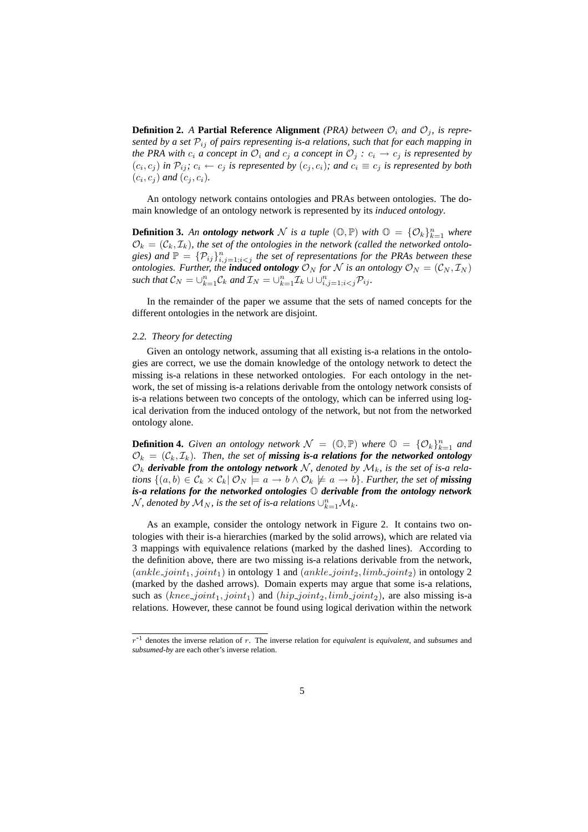**Definition 2.** *A* **Partial Reference Alignment** *(PRA) between*  $O_i$  *and*  $O_j$ *, is represented by a set* Pij *of pairs representing is-a relations, such that for each mapping in the PRA with*  $c_i$  *a concept in*  $\mathcal{O}_i$  *and*  $c_j$  *a concept in*  $\mathcal{O}_j$  *:*  $c_i \rightarrow c_j$  *is represented by*  $(c_i, c_j)$  *in*  $\mathcal{P}_{ij}$ ;  $c_i \leftarrow c_j$  *is represented by*  $(c_j, c_i)$ ; and  $c_i \equiv c_j$  *is represented by both*  $(c_i, c_j)$  *and*  $(c_j, c_i)$ *.* 

An ontology network contains ontologies and PRAs between ontologies. The domain knowledge of an ontology network is represented by its *induced ontology*.

**Definition 3.** An **ontology network** N is a tuple  $(\mathbb{O}, \mathbb{P})$  with  $\mathbb{O} = {\mathcal{O}_k}_{k=1}^n$  where  $\mathcal{O}_k = (\mathcal{C}_k, \mathcal{I}_k)$ , the set of the ontologies in the network (called the networked ontologies) and  $\mathbb{P} = \{ \mathcal{P}_{ij} \}_{i,j=1; i < j}^n$  the set of representations for the PRAs between these *ontologies. Further, the induced ontology*  $\mathcal{O}_N$  *for*  $\mathcal{N}$  *is an ontology*  $\mathcal{O}_N = (\mathcal{C}_N, \mathcal{I}_N)$ such that  $\mathcal{C}_N = \bigcup_{k=1}^n \mathcal{C}_k$  and  $\mathcal{I}_N = \bigcup_{k=1}^n \mathcal{I}_k \cup \bigcup_{i,j=1; i < j}^n \mathcal{P}_{ij}$ .

In the remainder of the paper we assume that the sets of named concepts for the different ontologies in the network are disjoint.

### *2.2. Theory for detecting*

Given an ontology network, assuming that all existing is-a relations in the ontologies are correct, we use the domain knowledge of the ontology network to detect the missing is-a relations in these networked ontologies. For each ontology in the network, the set of missing is-a relations derivable from the ontology network consists of is-a relations between two concepts of the ontology, which can be inferred using logical derivation from the induced ontology of the network, but not from the networked ontology alone.

**Definition 4.** Given an ontology network  $\mathcal{N} = (\mathbb{O}, \mathbb{P})$  where  $\mathbb{O} = {\mathcal{O}_k}_{k=1}^n$  and  $\mathcal{O}_k = (\mathcal{C}_k, \mathcal{I}_k)$ . Then, the set of **missing is-a relations for the networked ontology**  $\mathcal{O}_k$  **derivable from the ontology network** N, denoted by  $\mathcal{M}_k$ , is the set of is-a rela*tions*  $\{(a,b) \in C_k \times C_k | \mathcal{O}_N \models a \rightarrow b \land \mathcal{O}_k \not\models a \rightarrow b\}$ . *Further, the set of missing is-a relations for the networked ontologies* O *derivable from the ontology network*  $\mathcal{N}$ , denoted by  $\mathcal{M}_N$ , is the set of is-a relations  $\cup_{k=1}^n \mathcal{M}_k$ .

As an example, consider the ontology network in Figure 2. It contains two ontologies with their is-a hierarchies (marked by the solid arrows), which are related via 3 mappings with equivalence relations (marked by the dashed lines). According to the definition above, there are two missing is-a relations derivable from the network,  $(ankle\_joint_1,joint_1)$  in ontology 1 and  $(ankle\_joint_2,limb\_joint_2)$  in ontology 2 (marked by the dashed arrows). Domain experts may argue that some is-a relations, such as  $(knee\_joint_1,joint_1)$  and  $(hip\_joint_2,limb\_joint_2)$ , are also missing is-a relations. However, these cannot be found using logical derivation within the network

r -<sup>1</sup> denotes the inverse relation of r. The inverse relation for *equivalent* is *equivalent*, and *subsumes* and *subsumed-by* are each other's inverse relation.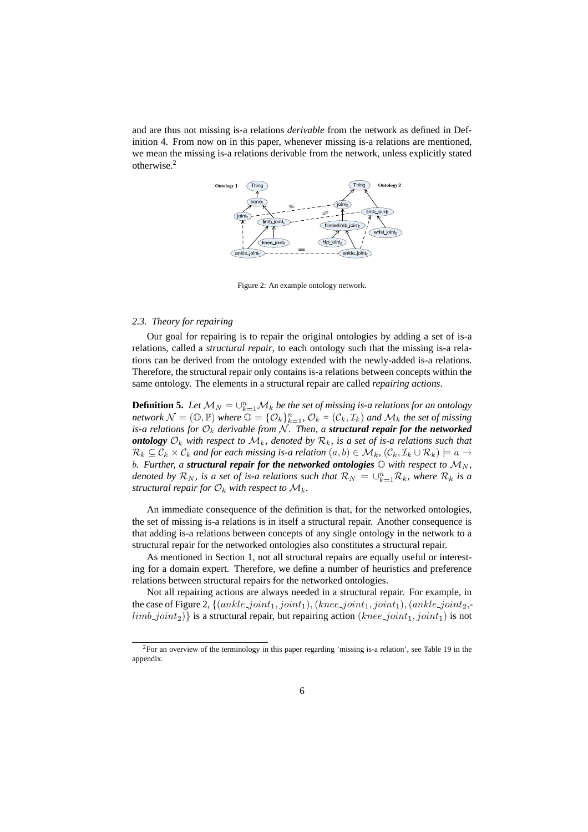and are thus not missing is-a relations *derivable* from the network as defined in Definition 4. From now on in this paper, whenever missing is-a relations are mentioned, we mean the missing is-a relations derivable from the network, unless explicitly stated otherwise.<sup>2</sup>



Figure 2: An example ontology network.

# *2.3. Theory for repairing*

Our goal for repairing is to repair the original ontologies by adding a set of is-a relations, called a *structural repair*, to each ontology such that the missing is-a relations can be derived from the ontology extended with the newly-added is-a relations. Therefore, the structural repair only contains is-a relations between concepts within the same ontology. The elements in a structural repair are called *repairing actions*.

**Definition 5.** Let  $\mathcal{M}_N = \bigcup_{k=1}^n \mathcal{M}_k$  be the set of missing is-a relations for an ontology *network*  $\mathcal{N} = (0, \mathbb{P})$  *where*  $\mathbb{O} = \{ \mathcal{O}_k \}_{k=1}^n$ ,  $\mathcal{O}_k = (\mathcal{C}_k, \mathcal{I}_k)$  *and*  $\mathcal{M}_k$  *the set of missing is-a relations for*  $\mathcal{O}_k$  *derivable from* N. Then, a *structural repair for the networked* **ontology**  $\mathcal{O}_k$  *with respect to*  $\mathcal{M}_k$ *, denoted by*  $\mathcal{R}_k$ *, is a set of is-a relations such that*  $\mathcal{R}_k \subseteq \mathcal{C}_k \times \mathcal{C}_k$  and for each missing is-a relation  $(a,b) \in \mathcal{M}_k$ ,  $(\mathcal{C}_k, \mathcal{I}_k \cup \mathcal{R}_k) \models a \rightarrow$ b. Further, a *structural repair for the networked ontologies*  $\mathbb{O}$  *with respect to*  $M_N$ , *denoted by*  $\mathcal{R}_N$ *, is a set of is-a relations such that*  $\mathcal{R}_N = \bigcup_{k=1}^n \mathcal{R}_k$ *, where*  $\mathcal{R}_k$  *is a structural repair for*  $\mathcal{O}_k$  *with respect to*  $\mathcal{M}_k$ *.* 

An immediate consequence of the definition is that, for the networked ontologies, the set of missing is-a relations is in itself a structural repair. Another consequence is that adding is-a relations between concepts of any single ontology in the network to a structural repair for the networked ontologies also constitutes a structural repair.

As mentioned in Section 1, not all structural repairs are equally useful or interesting for a domain expert. Therefore, we define a number of heuristics and preference relations between structural repairs for the networked ontologies.

Not all repairing actions are always needed in a structural repair. For example, in the case of Figure 2,  $\{(ankle\_joint_1,joint_1),(knee\_joint_1,joint_1),(ankle\_joint_2, \{limb_joint_2\}$  is a structural repair, but repairing action (*knee joint<sub>1</sub>, joint<sub>1</sub>*) is not

 ${}^{2}$ For an overview of the terminology in this paper regarding 'missing is-a relation', see Table 19 in the appendix.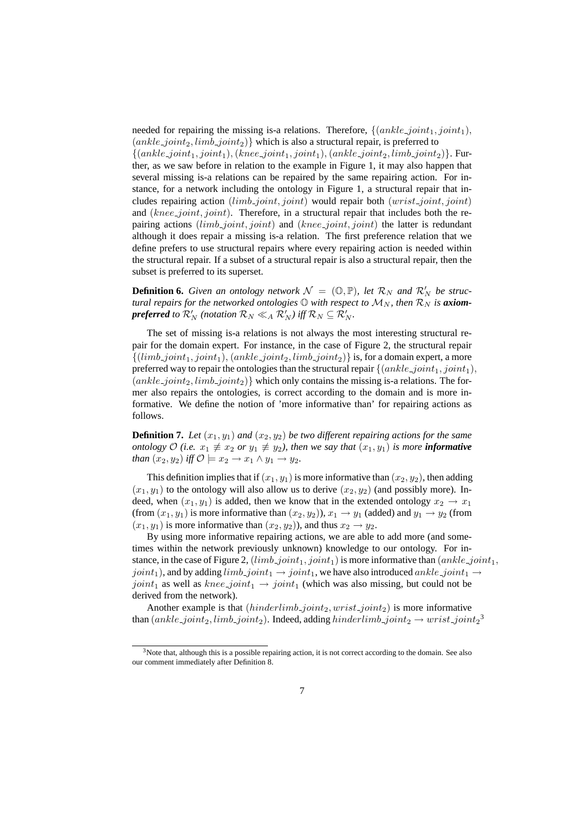needed for repairing the missing is-a relations. Therefore,  $\{(ankle\text{-}joint_1,\text{-}joint_1),$  $(ankle\_joint_2, limb\_joint_2)$ } which is also a structural repair, is preferred to

 $\{(ankle\_joint_1, joint_1), (knee\_joint_1, joint_1), (ankle\_joint_2, limb\_joint_2)\}.$  Further, as we saw before in relation to the example in Figure 1, it may also happen that several missing is-a relations can be repaired by the same repairing action. For instance, for a network including the ontology in Figure 1, a structural repair that includes repairing action  $(limb\_joint,joint)$  would repair both  $(wrist\_joint,joint)$ and  $(knee\_joint,joint)$ . Therefore, in a structural repair that includes both the repairing actions  $(limb\_joint,joint)$  and  $(knee\_joint,joint)$  the latter is redundant although it does repair a missing is-a relation. The first preference relation that we define prefers to use structural repairs where every repairing action is needed within the structural repair. If a subset of a structural repair is also a structural repair, then the subset is preferred to its superset.

**Definition 6.** *Given an ontology network*  $\mathcal{N} = (\mathbb{O}, \mathbb{P})$ *, let*  $\mathcal{R}_N$  *and*  $\mathcal{R}'_N$  *be structural repairs for the networked ontologies*  $\mathbb O$  *with respect to*  $M_N$ *, then*  $\mathcal R_N$  *is axiom-* $\bm{preferred}$  to  $\mathcal{R}'_N$  (notation  $\mathcal{R}_N\ll_A\mathcal{R}'_N$ ) iff  $\mathcal{R}_N\subseteq\mathcal{R}'_N$ .

The set of missing is-a relations is not always the most interesting structural repair for the domain expert. For instance, in the case of Figure 2, the structural repair  $\{(limb_1, joint_1), (ankle_1, oint_2, limb_1, int_2)\}$  is, for a domain expert, a more preferred way to repair the ontologies than the structural repair  $\{(ankle\_joint_1, joint_1),$  $(ankle\_joint_2, limb\_joint_2)$ } which only contains the missing is-a relations. The former also repairs the ontologies, is correct according to the domain and is more informative. We define the notion of 'more informative than' for repairing actions as follows.

**Definition 7.** Let  $(x_1, y_1)$  and  $(x_2, y_2)$  be two different repairing actions for the same *ontology*  $\mathcal{O}$  *(i.e.*  $x_1 \neq x_2$  *or*  $y_1 \neq y_2$ *), then we say that*  $(x_1, y_1)$  *is more informative than*  $(x_2, y_2)$  *iff*  $\mathcal{O} \models x_2 \rightarrow x_1 \land y_1 \rightarrow y_2$ *.* 

This definition implies that if  $(x_1,y_1)$  is more informative than  $(x_2,y_2)$ , then adding  $(x_1,y_1)$  to the ontology will also allow us to derive  $(x_2,y_2)$  (and possibly more). Indeed, when  $(x_1,y_1)$  is added, then we know that in the extended ontology  $x_2 \rightarrow x_1$ (from  $(x_1, y_1)$  is more informative than  $(x_2, y_2)$ ),  $x_1 \rightarrow y_1$  (added) and  $y_1 \rightarrow y_2$  (from  $(x_1, y_1)$  is more informative than  $(x_2, y_2)$ ), and thus  $x_2 \rightarrow y_2$ .

By using more informative repairing actions, we are able to add more (and sometimes within the network previously unknown) knowledge to our ontology. For instance, in the case of Figure 2,  $(limb\_joint_1,joint_1)$  is more informative than  $(ankle\_joint_1,$  $joint_1$ , and by adding  $limb$  joint<sub>1</sub>  $\rightarrow$  joint<sub>1</sub>, we have also introduced ankle joint<sub>1</sub>  $\rightarrow$ *joint*<sub>1</sub> as well as knee-*joint*<sub>1</sub>  $\rightarrow$  *joint*<sub>1</sub> (which was also missing, but could not be derived from the network).

Another example is that  $(hinderlimb.joint_2,wrist.joint_2)$  is more informative than  $(ankle\_joint_2, limb\_joint_2)$ . Indeed, adding  $hinderlimb\_joint_2 \rightarrow wrist\_joint_2^3$ 

 $3$ Note that, although this is a possible repairing action, it is not correct according to the domain. See also our comment immediately after Definition 8.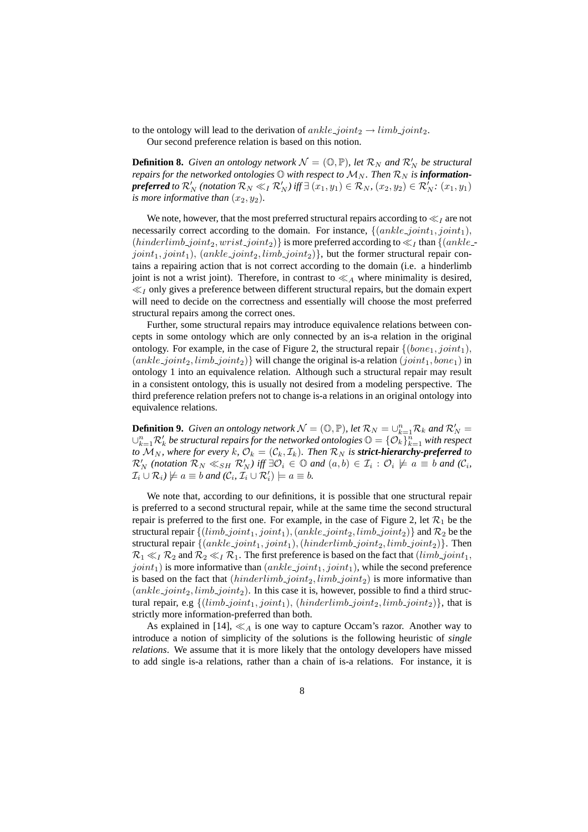to the ontology will lead to the derivation of ankle joint<sub>2</sub>  $\rightarrow$  limb joint<sub>2</sub>. Our second preference relation is based on this notion.

**Definition 8.** *Given an ontology network*  $\mathcal{N} = (\mathbb{O}, \mathbb{P})$ *, let*  $\mathcal{R}_N$  *and*  $\mathcal{R}'_N$  *be structural repairs for the networked ontologies*  $\mathbb{O}$  *with respect to*  $\mathcal{M}_N$ *. Then*  $\mathcal{R}_N$  *is information-* $\vec{p}$  *preferred* to  $\mathcal{R}'_N$  (notation  $\mathcal{R}_N \ll_I \mathcal{R}'_N$ ) iff  $\exists$   $(x_1, y_1) \in \mathcal{R}_N$ ,  $(x_2, y_2) \in \mathcal{R}'_N$ :  $(x_1, y_1)$ *is more informative than*  $(x_2, y_2)$ *.* 

We note, however, that the most preferred structural repairs according to  $\ll_I$  are not necessarily correct according to the domain. For instance,  $\{(ankle\_joint_1, joint_1),\}$  $(hinderlimb.joint_2,wrist.joint_2)$  is more preferred according to  $\ll_I$  than  $\{(ankle -1)$  $joint_1, joint_1$ ,  $(ankle\_joint_2, limb\_joint_2)$ , but the former structural repair contains a repairing action that is not correct according to the domain (i.e. a hinderlimb joint is not a wrist joint). Therefore, in contrast to  $\ll_A$  where minimality is desired,  $\ll_I$  only gives a preference between different structural repairs, but the domain expert will need to decide on the correctness and essentially will choose the most preferred structural repairs among the correct ones.

Further, some structural repairs may introduce equivalence relations between concepts in some ontology which are only connected by an is-a relation in the original ontology. For example, in the case of Figure 2, the structural repair  $\{(bone_1,joint_1),$  $(ankle\_joint_2, limb\_joint_2)$ } will change the original is-a relation  $(joint_1,bone_1)$  in ontology 1 into an equivalence relation. Although such a structural repair may result in a consistent ontology, this is usually not desired from a modeling perspective. The third preference relation prefers not to change is-a relations in an original ontology into equivalence relations.

**Definition 9.** *Given an ontology network*  $\mathcal{N} = (\mathbb{O}, \mathbb{P})$ *, let*  $\mathcal{R}_N = \bigcup_{k=1}^n \mathcal{R}_k$  *and*  $\mathcal{R}'_N =$  $\cup_{k=1}^n$ R'<sub>k</sub> be structural repairs for the networked ontologies  $\mathbb{O} = \{O_k\}_{k=1}^n$  with respect *to*  $M_N$ *, where for every* k,  $\mathcal{O}_k = (\mathcal{C}_k, \mathcal{I}_k)$ *. Then*  $\mathcal{R}_N$  *is strict-hierarchy-preferred to*  $\mathcal{R}'_N$  (notation  $\mathcal{R}_N \ll_{SH} \mathcal{R}'_N$ ) iff  $\exists \mathcal{O}_i \in \mathbb{O}$  and  $(a, b) \in \mathcal{I}_i : \mathcal{O}_i \not\models a \equiv b$  and  $(\mathcal{C}_i, \mathcal{C}_j)$  $\mathcal{I}_i \cup \mathcal{R}_i$ )  $\not\models a \equiv b$  *and*  $(\mathcal{C}_i, \mathcal{I}_i \cup \mathcal{R}'_i) \models a \equiv b$ *.* 

We note that, according to our definitions, it is possible that one structural repair is preferred to a second structural repair, while at the same time the second structural repair is preferred to the first one. For example, in the case of Figure 2, let  $\mathcal{R}_1$  be the structural repair  $\{(\text{limb}_j\text{oint}_1),(\text{ankle}_j\text{oint}_2,\text{limb}_j\text{oint}_2)\}\$  and  $\mathcal{R}_2$  be the structural repair  $\{(ankle\_joint_1, joint_1), (hinderlimb\_joint_2, limb\_joint_2)\}.$  Then  $\mathcal{R}_1 \ll_I \mathcal{R}_2$  and  $\mathcal{R}_2 \ll_I \mathcal{R}_1$ . The first preference is based on the fact that  $(limb\_joint_1,$  $joint_1$ ) is more informative than  $(ankle\_joint_1, joint_1)$ , while the second preference is based on the fact that  $(hinderlimb_joint_2,limb_joint_2)$  is more informative than  $(ankle\_joint_2, limb\_joint_2)$ . In this case it is, however, possible to find a third structural repair, e.g  $\{(\text{limb}_j\text{oint}_1), (\text{hinderlimb}_j\text{oint}_2, \text{limb}_j\text{oint}_2)\},\}$ , that is strictly more information-preferred than both.

As explained in [14],  $\ll_A$  is one way to capture Occam's razor. Another way to introduce a notion of simplicity of the solutions is the following heuristic of *single relations*. We assume that it is more likely that the ontology developers have missed to add single is-a relations, rather than a chain of is-a relations. For instance, it is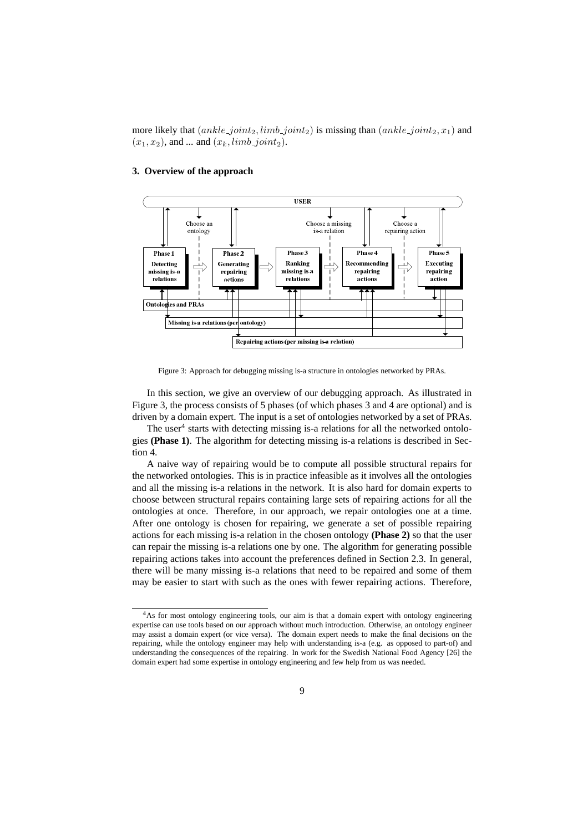more likely that  $(ankle\_joint_2,limb\_joint_2)$  is missing than  $(ankle\_joint_2,x_1)$  and  $(x_1, x_2)$ , and ... and  $(x_k, limb\_joint_2)$ .

# **3. Overview of the approach**



Figure 3: Approach for debugging missing is-a structure in ontologies networked by PRAs.

In this section, we give an overview of our debugging approach. As illustrated in Figure 3, the process consists of 5 phases (of which phases 3 and 4 are optional) and is driven by a domain expert. The input is a set of ontologies networked by a set of PRAs.

The user<sup>4</sup> starts with detecting missing is-a relations for all the networked ontologies **(Phase 1)**. The algorithm for detecting missing is-a relations is described in Section 4.

A naive way of repairing would be to compute all possible structural repairs for the networked ontologies. This is in practice infeasible as it involves all the ontologies and all the missing is-a relations in the network. It is also hard for domain experts to choose between structural repairs containing large sets of repairing actions for all the ontologies at once. Therefore, in our approach, we repair ontologies one at a time. After one ontology is chosen for repairing, we generate a set of possible repairing actions for each missing is-a relation in the chosen ontology **(Phase 2)** so that the user can repair the missing is-a relations one by one. The algorithm for generating possible repairing actions takes into account the preferences defined in Section 2.3. In general, there will be many missing is-a relations that need to be repaired and some of them may be easier to start with such as the ones with fewer repairing actions. Therefore,

<sup>4</sup>As for most ontology engineering tools, our aim is that a domain expert with ontology engineering expertise can use tools based on our approach without much introduction. Otherwise, an ontology engineer may assist a domain expert (or vice versa). The domain expert needs to make the final decisions on the repairing, while the ontology engineer may help with understanding is-a (e.g. as opposed to part-of) and understanding the consequences of the repairing. In work for the Swedish National Food Agency [26] the domain expert had some expertise in ontology engineering and few help from us was needed.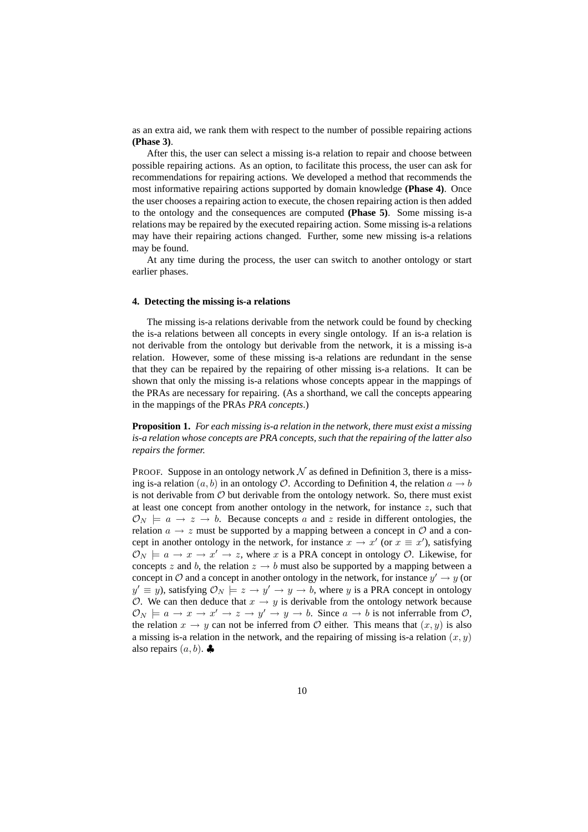as an extra aid, we rank them with respect to the number of possible repairing actions **(Phase 3)**.

After this, the user can select a missing is-a relation to repair and choose between possible repairing actions. As an option, to facilitate this process, the user can ask for recommendations for repairing actions. We developed a method that recommends the most informative repairing actions supported by domain knowledge **(Phase 4)**. Once the user chooses a repairing action to execute, the chosen repairing action is then added to the ontology and the consequences are computed **(Phase 5)**. Some missing is-a relations may be repaired by the executed repairing action. Some missing is-a relations may have their repairing actions changed. Further, some new missing is-a relations may be found.

At any time during the process, the user can switch to another ontology or start earlier phases.

## **4. Detecting the missing is-a relations**

The missing is-a relations derivable from the network could be found by checking the is-a relations between all concepts in every single ontology. If an is-a relation is not derivable from the ontology but derivable from the network, it is a missing is-a relation. However, some of these missing is-a relations are redundant in the sense that they can be repaired by the repairing of other missing is-a relations. It can be shown that only the missing is-a relations whose concepts appear in the mappings of the PRAs are necessary for repairing. (As a shorthand, we call the concepts appearing in the mappings of the PRAs *PRA concepts*.)

**Proposition 1.** *For each missing is-a relation in the network, there must exist a missing is-a relation whose concepts are PRA concepts, such that the repairing of the latter also repairs the former.*

PROOF. Suppose in an ontology network  $N$  as defined in Definition 3, there is a missing is-a relation  $(a, b)$  in an ontology  $O$ . According to Definition 4, the relation  $a \rightarrow b$ is not derivable from  $O$  but derivable from the ontology network. So, there must exist at least one concept from another ontology in the network, for instance  $z$ , such that  $\mathcal{O}_N \models a \rightarrow z \rightarrow b$ . Because concepts a and z reside in different ontologies, the relation  $a \rightarrow z$  must be supported by a mapping between a concept in  $\mathcal{O}$  and a concept in another ontology in the network, for instance  $x \to x'$  (or  $x \equiv x'$ ), satisfying  $\mathcal{O}_N \models a \to x \to x' \to z$ , where x is a PRA concept in ontology  $\mathcal{O}$ . Likewise, for concepts z and b, the relation  $z \rightarrow b$  must also be supported by a mapping between a concept in  $\mathcal O$  and a concept in another ontology in the network, for instance  $y' \to y$  (or  $y' \equiv y$ ), satisfying  $\mathcal{O}_N \models z \rightarrow y' \rightarrow y \rightarrow b$ , where y is a PRA concept in ontology O. We can then deduce that  $x \to y$  is derivable from the ontology network because  $\mathcal{O}_N \models a \rightarrow x \rightarrow x' \rightarrow z \rightarrow y' \rightarrow y \rightarrow b$ . Since  $a \rightarrow b$  is not inferrable from  $\mathcal{O}_n$ , the relation  $x \to y$  can not be inferred from O either. This means that  $(x, y)$  is also a missing is-a relation in the network, and the repairing of missing is-a relation  $(x, y)$ also repairs  $(a, b)$ .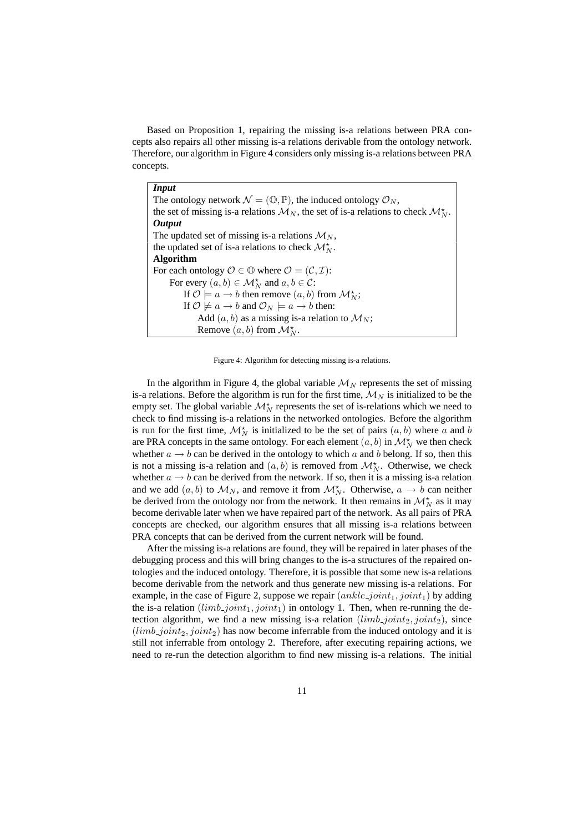Based on Proposition 1, repairing the missing is-a relations between PRA concepts also repairs all other missing is-a relations derivable from the ontology network. Therefore, our algorithm in Figure 4 considers only missing is-a relations between PRA concepts.

| Input                                                                                                            |
|------------------------------------------------------------------------------------------------------------------|
| The ontology network $\mathcal{N} = (\mathbb{O}, \mathbb{P})$ , the induced ontology $\mathcal{O}_N$ ,           |
| the set of missing is-a relations $\mathcal{M}_N$ , the set of is-a relations to check $\mathcal{M}_N^{\star}$ . |
| <i><b>Output</b></i>                                                                                             |
| The updated set of missing is-a relations $\mathcal{M}_N$ ,                                                      |
| the updated set of is-a relations to check $\mathcal{M}_{N}^{\star}$ .                                           |
| <b>Algorithm</b>                                                                                                 |
| For each ontology $\mathcal{O} \in \mathbb{O}$ where $\mathcal{O} = (\mathcal{C}, \mathcal{I})$ :                |
| For every $(a, b) \in \mathcal{M}_N^*$ and $a, b \in \mathcal{C}$ :                                              |
| If $\mathcal{O} \models a \rightarrow b$ then remove $(a, b)$ from $\mathcal{M}_{N}^{\star}$ ;                   |
| If $\mathcal{O} \not\models a \rightarrow b$ and $\mathcal{O}_N \models a \rightarrow b$ then:                   |
| Add $(a, b)$ as a missing is-a relation to $\mathcal{M}_N$ ;                                                     |
| Remove $(a, b)$ from $\mathcal{M}_{N}^*$ .                                                                       |

Figure 4: Algorithm for detecting missing is-a relations.

In the algorithm in Figure 4, the global variable  $\mathcal{M}_N$  represents the set of missing is-a relations. Before the algorithm is run for the first time,  $\mathcal{M}_N$  is initialized to be the empty set. The global variable  $\mathcal{M}^\star_N$  represents the set of is-relations which we need to check to find missing is-a relations in the networked ontologies. Before the algorithm is run for the first time,  $\mathcal{M}_{N}^*$  is initialized to be the set of pairs  $(a, b)$  where a and b are PRA concepts in the same ontology. For each element  $(a, b)$  in  $\mathcal{M}_{N}^{*}$  we then check whether  $a \rightarrow b$  can be derived in the ontology to which a and b belong. If so, then this is not a missing is-a relation and  $(a, b)$  is removed from  $\mathcal{M}_{N}^*$ . Otherwise, we check whether  $a \rightarrow b$  can be derived from the network. If so, then it is a missing is-a relation and we add  $(a, b)$  to  $\mathcal{M}_N$ , and remove it from  $\mathcal{M}_N^*$ . Otherwise,  $a \to b$  can neither be derived from the ontology nor from the network. It then remains in  $\mathcal{M}_N^*$  as it may become derivable later when we have repaired part of the network. As all pairs of PRA concepts are checked, our algorithm ensures that all missing is-a relations between PRA concepts that can be derived from the current network will be found.

After the missing is-a relations are found, they will be repaired in later phases of the debugging process and this will bring changes to the is-a structures of the repaired ontologies and the induced ontology. Therefore, it is possible that some new is-a relations become derivable from the network and thus generate new missing is-a relations. For example, in the case of Figure 2, suppose we repair  $(ankle\text{-}joint_1,joint_1)$  by adding the is-a relation  $(limb\_joint_1,joint_1)$  in ontology 1. Then, when re-running the detection algorithm, we find a new missing is-a relation  $(limb\_joint_2,joint_2)$ , since  $(limb\_joint_2,joint_2)$  has now become inferrable from the induced ontology and it is still not inferrable from ontology 2. Therefore, after executing repairing actions, we need to re-run the detection algorithm to find new missing is-a relations. The initial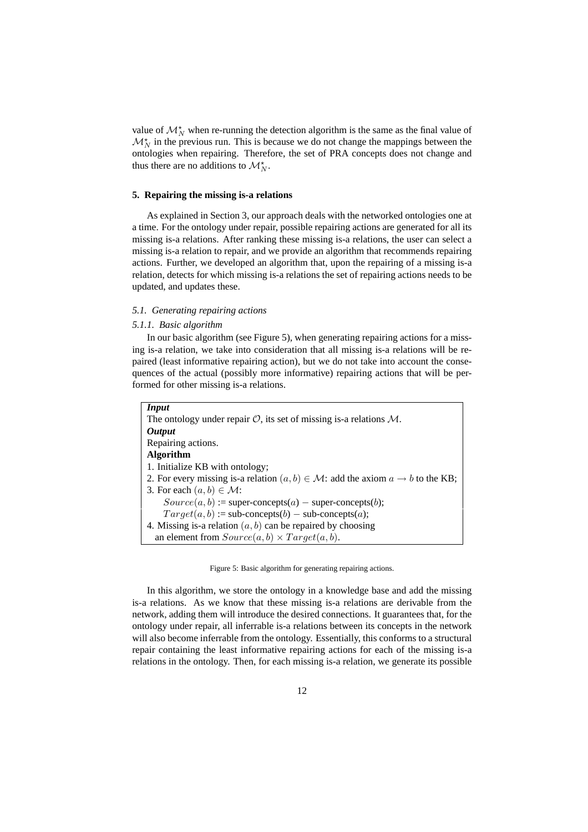value of  $\mathcal{M}_N^*$  when re-running the detection algorithm is the same as the final value of  $\mathcal{M}_{N}^*$  in the previous run. This is because we do not change the mappings between the ontologies when repairing. Therefore, the set of PRA concepts does not change and thus there are no additions to  $\mathcal{M}_N^*$ .

### **5. Repairing the missing is-a relations**

As explained in Section 3, our approach deals with the networked ontologies one at a time. For the ontology under repair, possible repairing actions are generated for all its missing is-a relations. After ranking these missing is-a relations, the user can select a missing is-a relation to repair, and we provide an algorithm that recommends repairing actions. Further, we developed an algorithm that, upon the repairing of a missing is-a relation, detects for which missing is-a relations the set of repairing actions needs to be updated, and updates these.

# *5.1. Generating repairing actions*

# *5.1.1. Basic algorithm*

In our basic algorithm (see Figure 5), when generating repairing actions for a missing is-a relation, we take into consideration that all missing is-a relations will be repaired (least informative repairing action), but we do not take into account the consequences of the actual (possibly more informative) repairing actions that will be performed for other missing is-a relations.

| Input                                                                                                    |
|----------------------------------------------------------------------------------------------------------|
| The ontology under repair $\mathcal{O}$ , its set of missing is-a relations $\mathcal{M}$ .              |
| <i><b>Output</b></i>                                                                                     |
| Repairing actions.                                                                                       |
| <b>Algorithm</b>                                                                                         |
| 1. Initialize KB with ontology;                                                                          |
| 2. For every missing is-a relation $(a, b) \in \mathcal{M}$ : add the axiom $a \rightarrow b$ to the KB; |
| 3. For each $(a, b) \in \mathcal{M}$ :                                                                   |
| $Source(a, b) := super-concepts(a) - super-concepts(b);$                                                 |
| $Target(a, b) := sub-concepts(b) - sub-concepts(a);$                                                     |
| 4. Missing is-a relation $(a, b)$ can be repaired by choosing                                            |
| an element from $Source(a, b) \times Target(a, b)$ .                                                     |

Figure 5: Basic algorithm for generating repairing actions.

In this algorithm, we store the ontology in a knowledge base and add the missing is-a relations. As we know that these missing is-a relations are derivable from the network, adding them will introduce the desired connections. It guarantees that, for the ontology under repair, all inferrable is-a relations between its concepts in the network will also become inferrable from the ontology. Essentially, this conforms to a structural repair containing the least informative repairing actions for each of the missing is-a relations in the ontology. Then, for each missing is-a relation, we generate its possible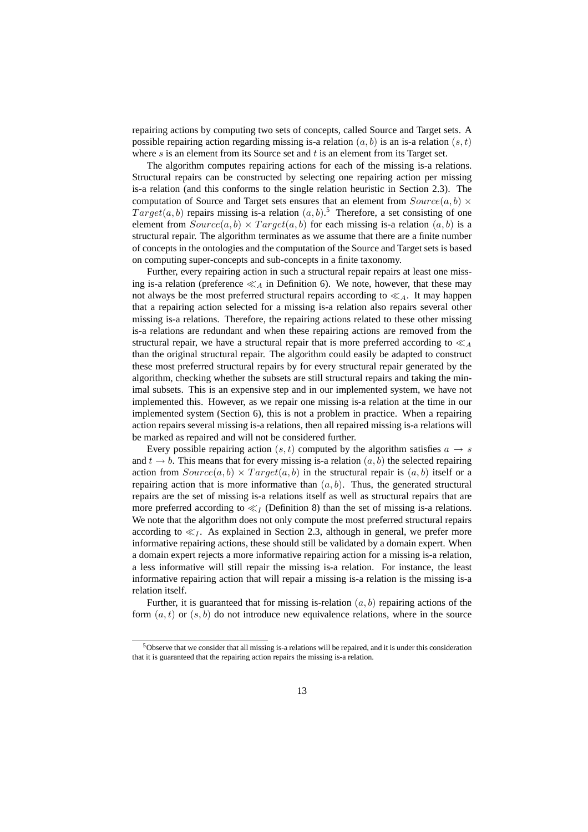repairing actions by computing two sets of concepts, called Source and Target sets. A possible repairing action regarding missing is-a relation  $(a, b)$  is an is-a relation  $(s, t)$ where  $s$  is an element from its Source set and  $t$  is an element from its Target set.

The algorithm computes repairing actions for each of the missing is-a relations. Structural repairs can be constructed by selecting one repairing action per missing is-a relation (and this conforms to the single relation heuristic in Section 2.3). The computation of Source and Target sets ensures that an element from  $Source(a, b) \times$  $Target(a, b)$  repairs missing is-a relation  $(a, b)$ .<sup>5</sup> Therefore, a set consisting of one element from  $Source(a, b) \times Target(a, b)$  for each missing is-a relation  $(a, b)$  is a structural repair. The algorithm terminates as we assume that there are a finite number of concepts in the ontologies and the computation of the Source and Target sets is based on computing super-concepts and sub-concepts in a finite taxonomy.

Further, every repairing action in such a structural repair repairs at least one missing is-a relation (preference  $\ll_A$  in Definition 6). We note, however, that these may not always be the most preferred structural repairs according to  $\ll A$ . It may happen that a repairing action selected for a missing is-a relation also repairs several other missing is-a relations. Therefore, the repairing actions related to these other missing is-a relations are redundant and when these repairing actions are removed from the structural repair, we have a structural repair that is more preferred according to  $\ll A$ than the original structural repair. The algorithm could easily be adapted to construct these most preferred structural repairs by for every structural repair generated by the algorithm, checking whether the subsets are still structural repairs and taking the minimal subsets. This is an expensive step and in our implemented system, we have not implemented this. However, as we repair one missing is-a relation at the time in our implemented system (Section 6), this is not a problem in practice. When a repairing action repairs several missing is-a relations, then all repaired missing is-a relations will be marked as repaired and will not be considered further.

Every possible repairing action  $(s, t)$  computed by the algorithm satisfies  $a \rightarrow s$ and  $t \to b$ . This means that for every missing is-a relation  $(a, b)$  the selected repairing action from  $Source(a,b) \times Target(a,b)$  in the structural repair is  $(a,b)$  itself or a repairing action that is more informative than  $(a, b)$ . Thus, the generated structural repairs are the set of missing is-a relations itself as well as structural repairs that are more preferred according to  $\ll_I$  (Definition 8) than the set of missing is-a relations. We note that the algorithm does not only compute the most preferred structural repairs according to  $\ll_l$ . As explained in Section 2.3, although in general, we prefer more informative repairing actions, these should still be validated by a domain expert. When a domain expert rejects a more informative repairing action for a missing is-a relation, a less informative will still repair the missing is-a relation. For instance, the least informative repairing action that will repair a missing is-a relation is the missing is-a relation itself.

Further, it is guaranteed that for missing is-relation  $(a, b)$  repairing actions of the form  $(a, t)$  or  $(s, b)$  do not introduce new equivalence relations, where in the source

<sup>5</sup>Observe that we consider that all missing is-a relations will be repaired, and it is under this consideration that it is guaranteed that the repairing action repairs the missing is-a relation.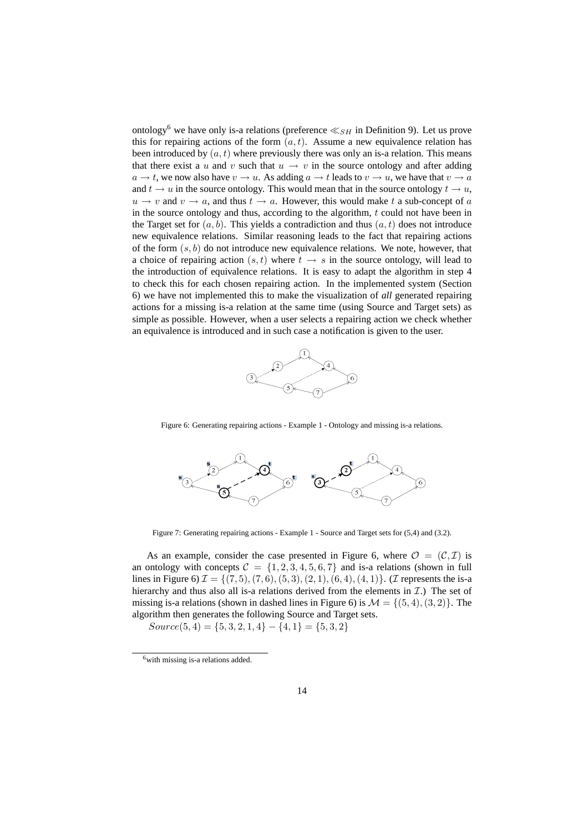ontology<sup>6</sup> we have only is-a relations (preference  $\ll_{SH}$  in Definition 9). Let us prove this for repairing actions of the form  $(a, t)$ . Assume a new equivalence relation has been introduced by  $(a, t)$  where previously there was only an is-a relation. This means that there exist a u and v such that  $u \rightarrow v$  in the source ontology and after adding  $a \to t$ , we now also have  $v \to u$ . As adding  $a \to t$  leads to  $v \to u$ , we have that  $v \to a$ and  $t \to u$  in the source ontology. This would mean that in the source ontology  $t \to u$ ,  $u \to v$  and  $v \to a$ , and thus  $t \to a$ . However, this would make t a sub-concept of a in the source ontology and thus, according to the algorithm,  $t$  could not have been in the Target set for  $(a, b)$ . This yields a contradiction and thus  $(a, t)$  does not introduce new equivalence relations. Similar reasoning leads to the fact that repairing actions of the form  $(s, b)$  do not introduce new equivalence relations. We note, however, that a choice of repairing action  $(s, t)$  where  $t \rightarrow s$  in the source ontology, will lead to the introduction of equivalence relations. It is easy to adapt the algorithm in step 4 to check this for each chosen repairing action. In the implemented system (Section 6) we have not implemented this to make the visualization of *all* generated repairing actions for a missing is-a relation at the same time (using Source and Target sets) as simple as possible. However, when a user selects a repairing action we check whether an equivalence is introduced and in such case a notification is given to the user.



Figure 6: Generating repairing actions - Example 1 - Ontology and missing is-a relations.



Figure 7: Generating repairing actions - Example 1 - Source and Target sets for (5,4) and (3.2).

As an example, consider the case presented in Figure 6, where  $\mathcal{O} = (\mathcal{C}, \mathcal{I})$  is an ontology with concepts  $C = \{1, 2, 3, 4, 5, 6, 7\}$  and is-a relations (shown in full lines in Figure 6)  $\mathcal{I} = \{(7,5), (7,6), (5,3), (2,1), (6,4), (4,1)\}$ . (*I* represents the is-a hierarchy and thus also all is-a relations derived from the elements in  $\mathcal{I}$ .) The set of missing is-a relations (shown in dashed lines in Figure 6) is  $\mathcal{M} = \{(5, 4), (3, 2)\}\.$  The algorithm then generates the following Source and Target sets.

 $Source(5, 4) = \{5, 3, 2, 1, 4\} - \{4, 1\} = \{5, 3, 2\}$ 

<sup>&</sup>lt;sup>6</sup>with missing is-a relations added.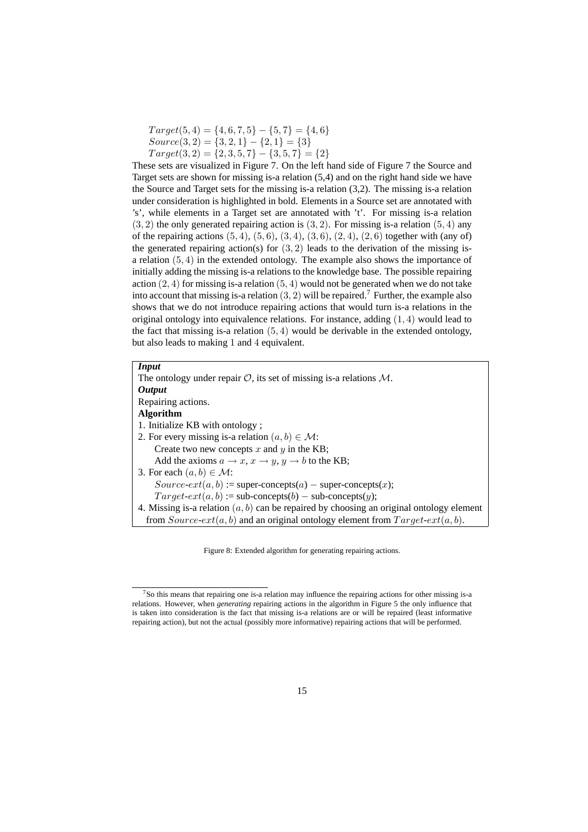$Target(5, 4) = \{4, 6, 7, 5\} - \{5, 7\} = \{4, 6\}$  $Source(3, 2) = \{3, 2, 1\} - \{2, 1\} = \{3\}$  $Target(3, 2) = \{2, 3, 5, 7\} - \{3, 5, 7\} = \{2\}$ 

These sets are visualized in Figure 7. On the left hand side of Figure 7 the Source and Target sets are shown for missing is-a relation (5,4) and on the right hand side we have the Source and Target sets for the missing is-a relation (3,2). The missing is-a relation under consideration is highlighted in bold. Elements in a Source set are annotated with 's', while elements in a Target set are annotated with 't'. For missing is-a relation  $(3, 2)$  the only generated repairing action is  $(3, 2)$ . For missing is-a relation  $(5, 4)$  any of the repairing actions  $(5, 4)$ ,  $(5, 6)$ ,  $(3, 4)$ ,  $(3, 6)$ ,  $(2, 4)$ ,  $(2, 6)$  together with (any of) the generated repairing action(s) for  $(3, 2)$  leads to the derivation of the missing isa relation (5, 4) in the extended ontology. The example also shows the importance of initially adding the missing is-a relations to the knowledge base. The possible repairing action  $(2, 4)$  for missing is-a relation  $(5, 4)$  would not be generated when we do not take into account that missing is-a relation  $(3, 2)$  will be repaired.<sup>7</sup> Further, the example also shows that we do not introduce repairing actions that would turn is-a relations in the original ontology into equivalence relations. For instance, adding (1, 4) would lead to the fact that missing is-a relation (5, 4) would be derivable in the extended ontology, but also leads to making 1 and 4 equivalent.

# *Input*

Figure 8: Extended algorithm for generating repairing actions.

 $7$ So this means that repairing one is-a relation may influence the repairing actions for other missing is-a relations. However, when *generating* repairing actions in the algorithm in Figure 5 the only influence that is taken into consideration is the fact that missing is-a relations are or will be repaired (least informative repairing action), but not the actual (possibly more informative) repairing actions that will be performed.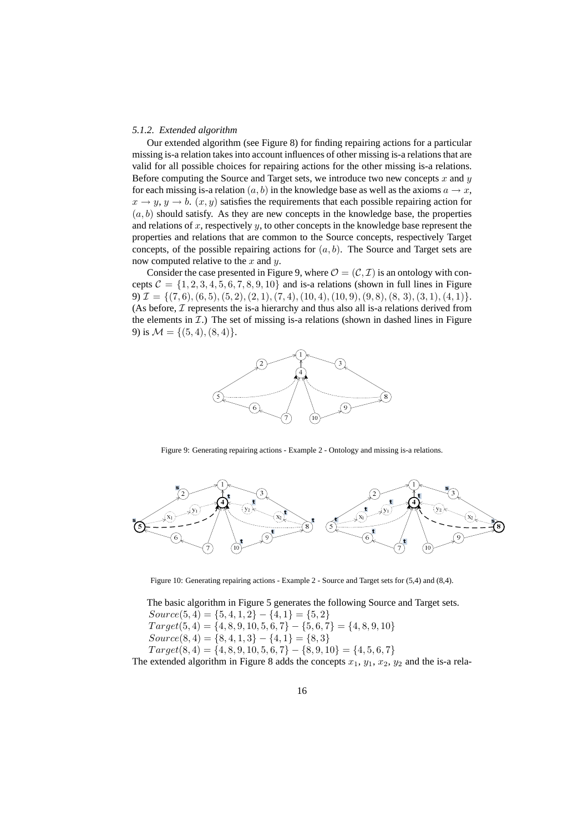#### *5.1.2. Extended algorithm*

Our extended algorithm (see Figure 8) for finding repairing actions for a particular missing is-a relation takes into account influences of other missing is-a relations that are valid for all possible choices for repairing actions for the other missing is-a relations. Before computing the Source and Target sets, we introduce two new concepts  $x$  and  $y$ for each missing is-a relation  $(a, b)$  in the knowledge base as well as the axioms  $a \rightarrow x$ ,  $x \to y$ ,  $y \to b$ .  $(x, y)$  satisfies the requirements that each possible repairing action for  $(a, b)$  should satisfy. As they are new concepts in the knowledge base, the properties and relations of  $x$ , respectively  $y$ , to other concepts in the knowledge base represent the properties and relations that are common to the Source concepts, respectively Target concepts, of the possible repairing actions for  $(a, b)$ . The Source and Target sets are now computed relative to the  $x$  and  $y$ .

Consider the case presented in Figure 9, where  $\mathcal{O} = (\mathcal{C}, \mathcal{I})$  is an ontology with concepts  $C = \{1, 2, 3, 4, 5, 6, 7, 8, 9, 10\}$  and is-a relations (shown in full lines in Figure 9)  $\mathcal{I} = \{(7,6), (6,5), (5,2), (2,1), (7,4), (10,4), (10,9), (9,8), (8, 3), (3,1), (4,1)\}.$ (As before,  $I$  represents the is-a hierarchy and thus also all is-a relations derived from the elements in  $\mathcal{I}$ .) The set of missing is-a relations (shown in dashed lines in Figure 9) is  $\mathcal{M} = \{(5, 4), (8, 4)\}.$ 



Figure 9: Generating repairing actions - Example 2 - Ontology and missing is-a relations.



Figure 10: Generating repairing actions - Example 2 - Source and Target sets for (5,4) and (8,4).

The basic algorithm in Figure 5 generates the following Source and Target sets.  $Source(5, 4) = \{5, 4, 1, 2\} - \{4, 1\} = \{5, 2\}$  $Target(5,4) = \{4, 8, 9, 10, 5, 6, 7\} - \{\overline{5}, 6, 7\} = \{4, 8, 9, 10\}$  $Source(8, 4) = \{8, 4, 1, 3\} - \{4, 1\} = \{8, 3\}$  $Target(8, 4) = \{4, 8, 9, 10, 5, 6, 7\} - \{8, 9, 10\} = \{4, 5, 6, 7\}$ 

The extended algorithm in Figure 8 adds the concepts  $x_1, y_1, x_2, y_2$  and the is-a rela-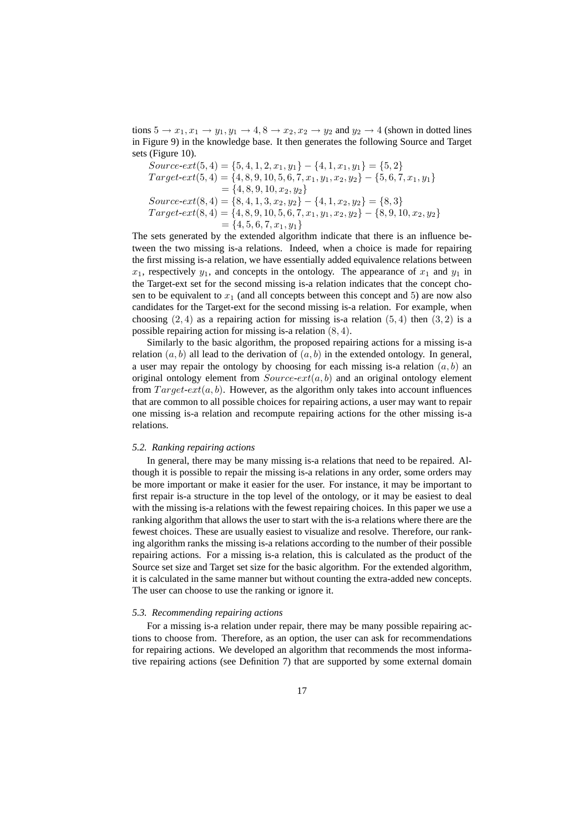tions  $5 \rightarrow x_1, x_1 \rightarrow y_1, y_1 \rightarrow 4, 8 \rightarrow x_2, x_2 \rightarrow y_2$  and  $y_2 \rightarrow 4$  (shown in dotted lines in Figure 9) in the knowledge base. It then generates the following Source and Target sets (Figure 10).

Source-
$$
ext(5, 4) = \{5, 4, 1, 2, x_1, y_1\} - \{4, 1, x_1, y_1\} = \{5, 2\}
$$
  
\nTarget- $ext(5, 4) = \{4, 8, 9, 10, 5, 6, 7, x_1, y_1, x_2, y_2\} - \{5, 6, 7, x_1, y_1\}$   
\n $= \{4, 8, 9, 10, x_2, y_2\}$   
\nSource- $ext(8, 4) = \{8, 4, 1, 3, x_2, y_2\} - \{4, 1, x_2, y_2\} = \{8, 3\}$   
\nTarget- $ext(8, 4) = \{4, 8, 9, 10, 5, 6, 7, x_1, y_1, x_2, y_2\} - \{8, 9, 10, x_2, y_2\}$   
\n $= \{4, 5, 6, 7, x_1, y_1\}$ 

The sets generated by the extended algorithm indicate that there is an influence between the two missing is-a relations. Indeed, when a choice is made for repairing the first missing is-a relation, we have essentially added equivalence relations between  $x_1$ , respectively  $y_1$ , and concepts in the ontology. The appearance of  $x_1$  and  $y_1$  in the Target-ext set for the second missing is-a relation indicates that the concept chosen to be equivalent to  $x_1$  (and all concepts between this concept and 5) are now also candidates for the Target-ext for the second missing is-a relation. For example, when choosing  $(2, 4)$  as a repairing action for missing is-a relation  $(5, 4)$  then  $(3, 2)$  is a possible repairing action for missing is-a relation (8, 4).

Similarly to the basic algorithm, the proposed repairing actions for a missing is-a relation  $(a, b)$  all lead to the derivation of  $(a, b)$  in the extended ontology. In general, a user may repair the ontology by choosing for each missing is-a relation  $(a, b)$  and original ontology element from  $Source\text{-}ext(a, b)$  and an original ontology element from  $Target\text{-}ext(a, b)$ . However, as the algorithm only takes into account influences that are common to all possible choices for repairing actions, a user may want to repair one missing is-a relation and recompute repairing actions for the other missing is-a relations.

# *5.2. Ranking repairing actions*

In general, there may be many missing is-a relations that need to be repaired. Although it is possible to repair the missing is-a relations in any order, some orders may be more important or make it easier for the user. For instance, it may be important to first repair is-a structure in the top level of the ontology, or it may be easiest to deal with the missing is-a relations with the fewest repairing choices. In this paper we use a ranking algorithm that allows the user to start with the is-a relations where there are the fewest choices. These are usually easiest to visualize and resolve. Therefore, our ranking algorithm ranks the missing is-a relations according to the number of their possible repairing actions. For a missing is-a relation, this is calculated as the product of the Source set size and Target set size for the basic algorithm. For the extended algorithm, it is calculated in the same manner but without counting the extra-added new concepts. The user can choose to use the ranking or ignore it.

### *5.3. Recommending repairing actions*

For a missing is-a relation under repair, there may be many possible repairing actions to choose from. Therefore, as an option, the user can ask for recommendations for repairing actions. We developed an algorithm that recommends the most informative repairing actions (see Definition 7) that are supported by some external domain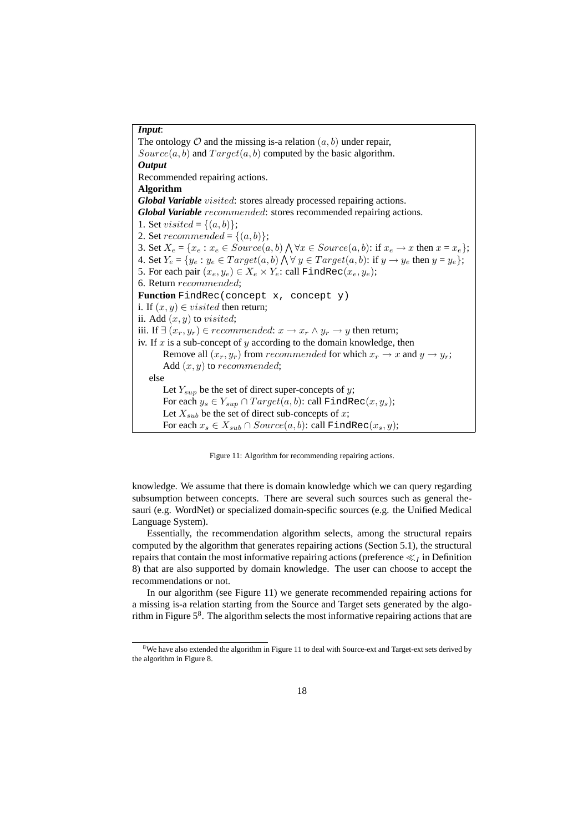*Input*: The ontology  $O$  and the missing is-a relation  $(a, b)$  under repair,  $Source(a, b)$  and  $Target(a, b)$  computed by the basic algorithm. *Output* Recommended repairing actions. **Algorithm** *Global Variable* visited: stores already processed repairing actions. *Global Variable* recommended: stores recommended repairing actions. 1. Set visited =  $\{(a,b)\}$ ; 2. Set  $recommended = \{(a,b)\};$ 3. Set  $X_e = \{x_e : x_e \in Source(a, b) \land \forall x \in Source(a, b)$ : if  $x_e \rightarrow x$  then  $x = x_e\};$ 4. Set  $Y_e = \{y_e : y_e \in Target(a, b) \land \forall y \in Target(a, b)$ : if  $y \rightarrow y_e$  then  $y = y_e\};$ 5. For each pair  $(x_e, y_e) \in X_e \times Y_e$ : call FindRec $(x_e, y_e)$ ; 6. Return recommended; **Function** FindRec(concept x, concept y) i. If  $(x, y) \in visited$  then return; ii. Add  $(x, y)$  to *visited*; iii. If ∃  $(x_r, y_r)$  ∈ *recommended*:  $x \rightarrow x_r \land y_r \rightarrow y$  then return; iv. If  $x$  is a sub-concept of  $y$  according to the domain knowledge, then Remove all  $(x_r, y_r)$  from recommended for which  $x_r \to x$  and  $y \to y_r$ ; Add  $(x, y)$  to recommended; else Let  $Y_{sup}$  be the set of direct super-concepts of y; For each  $y_s \in Y_{sup} \cap Target(a, b)$ : call FindRec $(x, y_s)$ ; Let  $X_{sub}$  be the set of direct sub-concepts of x; For each  $x_s \in X_{sub} \cap Source(a, b)$ : call FindRec $(x_s, y)$ ;

Figure 11: Algorithm for recommending repairing actions.

knowledge. We assume that there is domain knowledge which we can query regarding subsumption between concepts. There are several such sources such as general thesauri (e.g. WordNet) or specialized domain-specific sources (e.g. the Unified Medical Language System).

Essentially, the recommendation algorithm selects, among the structural repairs computed by the algorithm that generates repairing actions (Section 5.1), the structural repairs that contain the most informative repairing actions (preference  $\ll_I$  in Definition 8) that are also supported by domain knowledge. The user can choose to accept the recommendations or not.

In our algorithm (see Figure 11) we generate recommended repairing actions for a missing is-a relation starting from the Source and Target sets generated by the algorithm in Figure  $5<sup>8</sup>$ . The algorithm selects the most informative repairing actions that are

 $8$ We have also extended the algorithm in Figure 11 to deal with Source-ext and Target-ext sets derived by the algorithm in Figure 8.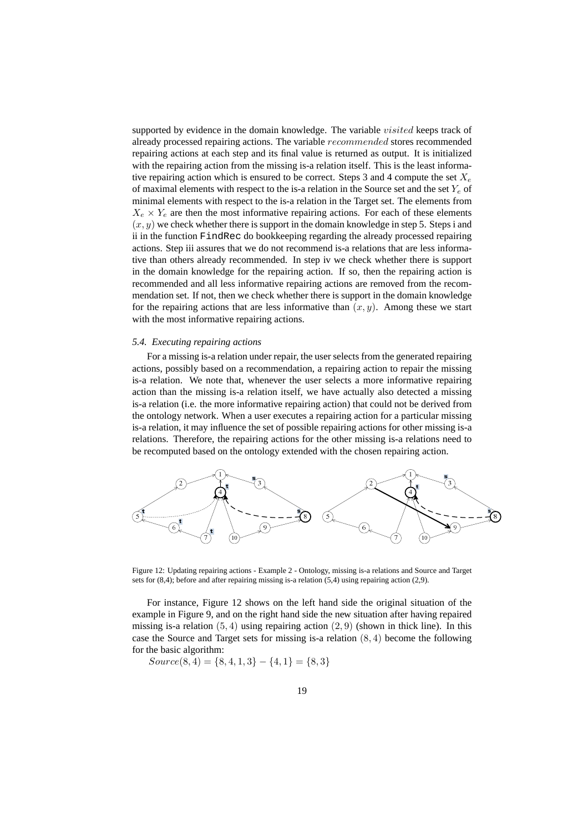supported by evidence in the domain knowledge. The variable *visited* keeps track of already processed repairing actions. The variable recommended stores recommended repairing actions at each step and its final value is returned as output. It is initialized with the repairing action from the missing is-a relation itself. This is the least informative repairing action which is ensured to be correct. Steps 3 and 4 compute the set  $X_e$ of maximal elements with respect to the is-a relation in the Source set and the set  $Y_e$  of minimal elements with respect to the is-a relation in the Target set. The elements from  $X_e \times Y_e$  are then the most informative repairing actions. For each of these elements  $(x, y)$  we check whether there is support in the domain knowledge in step 5. Steps i and ii in the function FindRec do bookkeeping regarding the already processed repairing actions. Step iii assures that we do not recommend is-a relations that are less informative than others already recommended. In step iv we check whether there is support in the domain knowledge for the repairing action. If so, then the repairing action is recommended and all less informative repairing actions are removed from the recommendation set. If not, then we check whether there is support in the domain knowledge for the repairing actions that are less informative than  $(x, y)$ . Among these we start with the most informative repairing actions.

# *5.4. Executing repairing actions*

For a missing is-a relation under repair, the user selects from the generated repairing actions, possibly based on a recommendation, a repairing action to repair the missing is-a relation. We note that, whenever the user selects a more informative repairing action than the missing is-a relation itself, we have actually also detected a missing is-a relation (i.e. the more informative repairing action) that could not be derived from the ontology network. When a user executes a repairing action for a particular missing is-a relation, it may influence the set of possible repairing actions for other missing is-a relations. Therefore, the repairing actions for the other missing is-a relations need to be recomputed based on the ontology extended with the chosen repairing action.



Figure 12: Updating repairing actions - Example 2 - Ontology, missing is-a relations and Source and Target sets for (8,4); before and after repairing missing is-a relation (5,4) using repairing action (2,9).

For instance, Figure 12 shows on the left hand side the original situation of the example in Figure 9, and on the right hand side the new situation after having repaired missing is-a relation  $(5, 4)$  using repairing action  $(2, 9)$  (shown in thick line). In this case the Source and Target sets for missing is-a relation  $(8, 4)$  become the following for the basic algorithm:

 $Source(8, 4) = \{8, 4, 1, 3\} - \{4, 1\} = \{8, 3\}$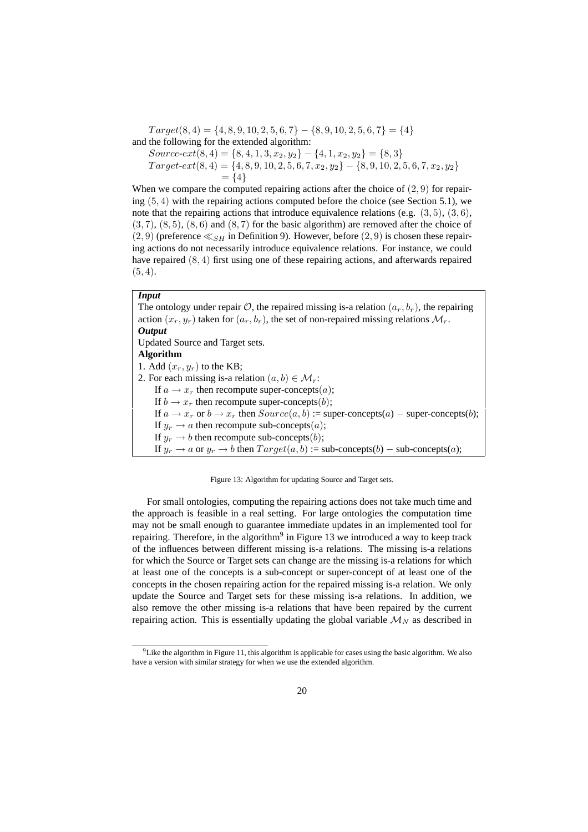$Target(8, 4) = \{4, 8, 9, 10, 2, 5, 6, 7\} - \{8, 9, 10, 2, 5, 6, 7\} = \{4\}$ and the following for the extended algorithm:

Source-ext(8, 4) = {8, 4, 1, 3,  $x_2, y_2$ } - {4, 1,  $x_2, y_2$ } = {8, 3}  $Target\text{-}ext(8, 4) = \{4, 8, 9, 10, 2, 5, 6, 7, x_2, y_2\} - \{8, 9, 10, 2, 5, 6, 7, x_2, y_2\}$  $= \{4\}$ 

When we compare the computed repairing actions after the choice of  $(2, 9)$  for repairing  $(5, 4)$  with the repairing actions computed before the choice (see Section 5.1), we note that the repairing actions that introduce equivalence relations (e.g.  $(3, 5)$ ,  $(3, 6)$ ,  $(3, 7)$ ,  $(8, 5)$ ,  $(8, 6)$  and  $(8, 7)$  for the basic algorithm) are removed after the choice of  $(2, 9)$  (preference  $\ll_{SH}$  in Definition 9). However, before  $(2, 9)$  is chosen these repairing actions do not necessarily introduce equivalence relations. For instance, we could have repaired (8, 4) first using one of these repairing actions, and afterwards repaired  $(5, 4)$ .

# *Input*

The ontology under repair  $\mathcal{O}$ , the repaired missing is-a relation  $(a_r, b_r)$ , the repairing action  $(x_r, y_r)$  taken for  $(a_r, b_r)$ , the set of non-repaired missing relations  $\mathcal{M}_r$ . *Output* Updated Source and Target sets. **Algorithm** 1. Add  $(x_r, y_r)$  to the KB; 2. For each missing is-a relation  $(a, b) \in \mathcal{M}_r$ : If  $a \rightarrow x_r$  then recompute super-concepts(a); If  $b \rightarrow x_r$  then recompute super-concepts(b); If  $a \rightarrow x_r$  or  $b \rightarrow x_r$  then  $Source(a, b) := super-concepts(a) - super-concepts(b);$ If  $y_r \to a$  then recompute sub-concepts(a); If  $y_r \to b$  then recompute sub-concepts(b); If  $y_r \to a$  or  $y_r \to b$  then  $Target(a, b) := sub-concepts(b) - sub-concepts(a);$ 

### Figure 13: Algorithm for updating Source and Target sets.

For small ontologies, computing the repairing actions does not take much time and the approach is feasible in a real setting. For large ontologies the computation time may not be small enough to guarantee immediate updates in an implemented tool for repairing. Therefore, in the algorithm<sup>9</sup> in Figure 13 we introduced a way to keep track of the influences between different missing is-a relations. The missing is-a relations for which the Source or Target sets can change are the missing is-a relations for which at least one of the concepts is a sub-concept or super-concept of at least one of the concepts in the chosen repairing action for the repaired missing is-a relation. We only update the Source and Target sets for these missing is-a relations. In addition, we also remove the other missing is-a relations that have been repaired by the current repairing action. This is essentially updating the global variable  $\mathcal{M}_N$  as described in

 $9$ Like the algorithm in Figure 11, this algorithm is applicable for cases using the basic algorithm. We also have a version with similar strategy for when we use the extended algorithm.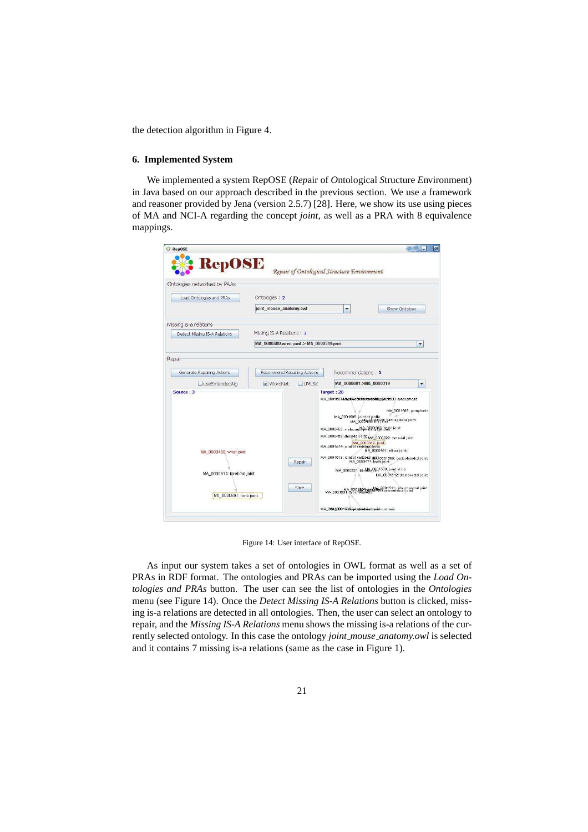the detection algorithm in Figure 4.

# **6. Implemented System**

We implemented a system RepOSE (*Rep*air of *O*ntological *S*tructure *E*nvironment) in Java based on our approach described in the previous section. We use a framework and reasoner provided by Jena (version 2.5.7) [28]. Here, we show its use using pieces of MA and NCI-A regarding the concept *joint*, as well as a PRA with 8 equivalence mappings.

| RepOSE                                                                                           |                                            |                                                                                                                                                                                                                                                                                                                                                                                                |                                                                                                                          |
|--------------------------------------------------------------------------------------------------|--------------------------------------------|------------------------------------------------------------------------------------------------------------------------------------------------------------------------------------------------------------------------------------------------------------------------------------------------------------------------------------------------------------------------------------------------|--------------------------------------------------------------------------------------------------------------------------|
| <b>RepOSE</b>                                                                                    |                                            | Repair of Ontological Structure Environment                                                                                                                                                                                                                                                                                                                                                    |                                                                                                                          |
| Ontologies networked by PRAs                                                                     |                                            |                                                                                                                                                                                                                                                                                                                                                                                                |                                                                                                                          |
| Load Ontologies and PRAs                                                                         | Ontologies: 2                              |                                                                                                                                                                                                                                                                                                                                                                                                |                                                                                                                          |
|                                                                                                  | joint mouse anatomy.owl                    | ٠                                                                                                                                                                                                                                                                                                                                                                                              | Show Ontology                                                                                                            |
| Missing is-a relations                                                                           |                                            |                                                                                                                                                                                                                                                                                                                                                                                                |                                                                                                                          |
| Detect Missing IS-A Relations                                                                    | Missing IS-A Relations: 7                  |                                                                                                                                                                                                                                                                                                                                                                                                |                                                                                                                          |
|                                                                                                  | MA_0000460:wrist joint -> MA_0000319:joint |                                                                                                                                                                                                                                                                                                                                                                                                | v                                                                                                                        |
| useExtendedAlg                                                                                   | V WordNet<br><b>UMLSK</b>                  | MA_0000691->MA_0000319                                                                                                                                                                                                                                                                                                                                                                         | ▼                                                                                                                        |
| Generate Repairing Actions<br>Source: 3<br>MA 0000460: wrist joint<br>MA_0000614: forelimb joint | Recommend Repairing Actions<br>Repair      | Recommendations: 1<br>Target: 26<br>MA_0001507dAteR60df506csdarriddid.c000rf500; syndesmosis<br>MA_0001505: joint of girdle<br>MA 0000453: metacard AA99R983 BM e joint<br>MA_0000459: shoulder joint MA_0000322: synovial joint<br>MA_0000319; joint<br>MA_0001513: joint of vertebral MAh0001509: costochondral joint<br>MA_0000471: knee joint<br>MA_0000321: fibild@-0000108: joint of rib | MA 0001499: gomphosis<br>MA_000007000320 satilaginous joint<br>MA_0000451: elbow joint<br>MA_0001512: sternocostal joint |
| MA 0000691: limb joint                                                                           | Save                                       | MA_0001601: \$vec 150015041 MA_0001511; interchondral joint                                                                                                                                                                                                                                                                                                                                    |                                                                                                                          |
|                                                                                                  |                                            | MA 000-1602:1608: abstrauto altranta hondrosis                                                                                                                                                                                                                                                                                                                                                 |                                                                                                                          |

Figure 14: User interface of RepOSE.

As input our system takes a set of ontologies in OWL format as well as a set of PRAs in RDF format. The ontologies and PRAs can be imported using the *Load Ontologies and PRAs* button. The user can see the list of ontologies in the *Ontologies* menu (see Figure 14). Once the *Detect Missing IS-A Relations* button is clicked, missing is-a relations are detected in all ontologies. Then, the user can select an ontology to repair, and the *Missing IS-A Relations* menu shows the missing is-a relations of the currently selected ontology. In this case the ontology *joint mouse anatomy.owl* is selected and it contains 7 missing is-a relations (same as the case in Figure 1).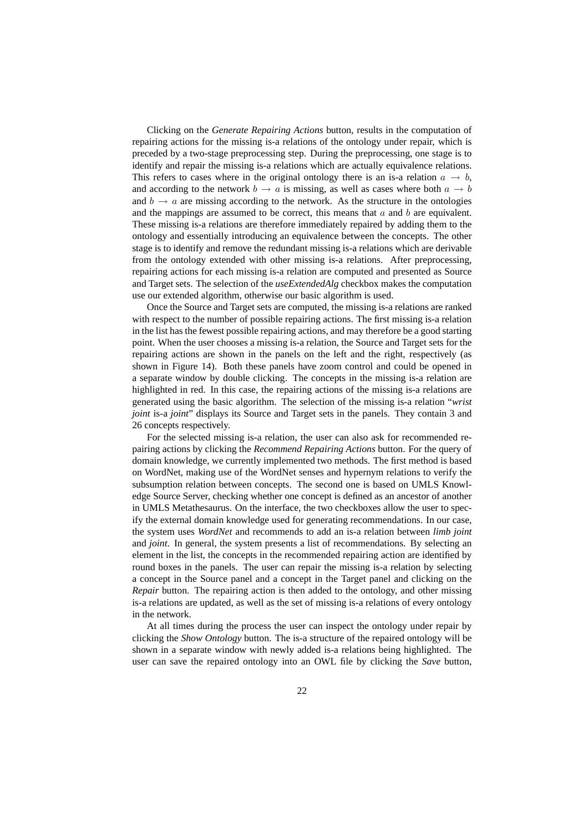Clicking on the *Generate Repairing Actions* button, results in the computation of repairing actions for the missing is-a relations of the ontology under repair, which is preceded by a two-stage preprocessing step. During the preprocessing, one stage is to identify and repair the missing is-a relations which are actually equivalence relations. This refers to cases where in the original ontology there is an is-a relation  $a \rightarrow b$ , and according to the network  $b \to a$  is missing, as well as cases where both  $a \to b$ and  $b \rightarrow a$  are missing according to the network. As the structure in the ontologies and the mappings are assumed to be correct, this means that  $a$  and  $b$  are equivalent. These missing is-a relations are therefore immediately repaired by adding them to the ontology and essentially introducing an equivalence between the concepts. The other stage is to identify and remove the redundant missing is-a relations which are derivable from the ontology extended with other missing is-a relations. After preprocessing, repairing actions for each missing is-a relation are computed and presented as Source and Target sets. The selection of the *useExtendedAlg* checkbox makes the computation use our extended algorithm, otherwise our basic algorithm is used.

Once the Source and Target sets are computed, the missing is-a relations are ranked with respect to the number of possible repairing actions. The first missing is-a relation in the list has the fewest possible repairing actions, and may therefore be a good starting point. When the user chooses a missing is-a relation, the Source and Target sets for the repairing actions are shown in the panels on the left and the right, respectively (as shown in Figure 14). Both these panels have zoom control and could be opened in a separate window by double clicking. The concepts in the missing is-a relation are highlighted in red. In this case, the repairing actions of the missing is-a relations are generated using the basic algorithm. The selection of the missing is-a relation "*wrist joint* is-a *joint*" displays its Source and Target sets in the panels. They contain 3 and 26 concepts respectively.

For the selected missing is-a relation, the user can also ask for recommended repairing actions by clicking the *Recommend Repairing Actions* button. For the query of domain knowledge, we currently implemented two methods. The first method is based on WordNet, making use of the WordNet senses and hypernym relations to verify the subsumption relation between concepts. The second one is based on UMLS Knowledge Source Server, checking whether one concept is defined as an ancestor of another in UMLS Metathesaurus. On the interface, the two checkboxes allow the user to specify the external domain knowledge used for generating recommendations. In our case, the system uses *WordNet* and recommends to add an is-a relation between *limb joint* and *joint*. In general, the system presents a list of recommendations. By selecting an element in the list, the concepts in the recommended repairing action are identified by round boxes in the panels. The user can repair the missing is-a relation by selecting a concept in the Source panel and a concept in the Target panel and clicking on the *Repair* button. The repairing action is then added to the ontology, and other missing is-a relations are updated, as well as the set of missing is-a relations of every ontology in the network.

At all times during the process the user can inspect the ontology under repair by clicking the *Show Ontology* button. The is-a structure of the repaired ontology will be shown in a separate window with newly added is-a relations being highlighted. The user can save the repaired ontology into an OWL file by clicking the *Save* button,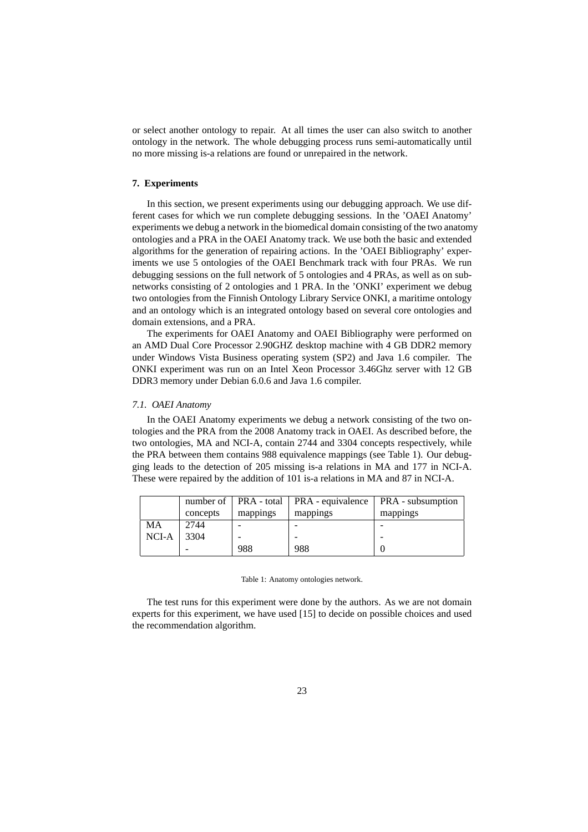or select another ontology to repair. At all times the user can also switch to another ontology in the network. The whole debugging process runs semi-automatically until no more missing is-a relations are found or unrepaired in the network.

# **7. Experiments**

In this section, we present experiments using our debugging approach. We use different cases for which we run complete debugging sessions. In the 'OAEI Anatomy' experiments we debug a network in the biomedical domain consisting of the two anatomy ontologies and a PRA in the OAEI Anatomy track. We use both the basic and extended algorithms for the generation of repairing actions. In the 'OAEI Bibliography' experiments we use 5 ontologies of the OAEI Benchmark track with four PRAs. We run debugging sessions on the full network of 5 ontologies and 4 PRAs, as well as on subnetworks consisting of 2 ontologies and 1 PRA. In the 'ONKI' experiment we debug two ontologies from the Finnish Ontology Library Service ONKI, a maritime ontology and an ontology which is an integrated ontology based on several core ontologies and domain extensions, and a PRA.

The experiments for OAEI Anatomy and OAEI Bibliography were performed on an AMD Dual Core Processor 2.90GHZ desktop machine with 4 GB DDR2 memory under Windows Vista Business operating system (SP2) and Java 1.6 compiler. The ONKI experiment was run on an Intel Xeon Processor 3.46Ghz server with 12 GB DDR3 memory under Debian 6.0.6 and Java 1.6 compiler.

# *7.1. OAEI Anatomy*

In the OAEI Anatomy experiments we debug a network consisting of the two ontologies and the PRA from the 2008 Anatomy track in OAEI. As described before, the two ontologies, MA and NCI-A, contain 2744 and 3304 concepts respectively, while the PRA between them contains 988 equivalence mappings (see Table 1). Our debugging leads to the detection of 205 missing is-a relations in MA and 177 in NCI-A. These were repaired by the addition of 101 is-a relations in MA and 87 in NCI-A.

|         |          |          | number of $\parallel$ PRA - total $\parallel$ PRA - equivalence | <b>PRA</b> - subsumption |
|---------|----------|----------|-----------------------------------------------------------------|--------------------------|
|         | concepts | mappings | mappings                                                        | mappings                 |
| MA      | 2744     |          |                                                                 |                          |
| $NCI-A$ | 3304     |          |                                                                 |                          |
|         |          | 988      | 988                                                             |                          |

#### Table 1: Anatomy ontologies network.

The test runs for this experiment were done by the authors. As we are not domain experts for this experiment, we have used [15] to decide on possible choices and used the recommendation algorithm.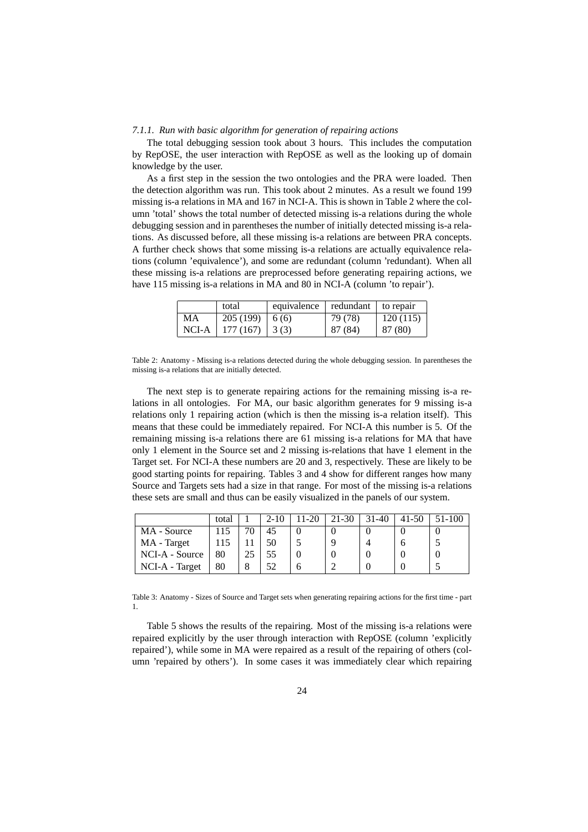# *7.1.1. Run with basic algorithm for generation of repairing actions*

The total debugging session took about 3 hours. This includes the computation by RepOSE, the user interaction with RepOSE as well as the looking up of domain knowledge by the user.

As a first step in the session the two ontologies and the PRA were loaded. Then the detection algorithm was run. This took about 2 minutes. As a result we found 199 missing is-a relations in MA and 167 in NCI-A. This is shown in Table 2 where the column 'total' shows the total number of detected missing is-a relations during the whole debugging session and in parentheses the number of initially detected missing is-a relations. As discussed before, all these missing is-a relations are between PRA concepts. A further check shows that some missing is-a relations are actually equivalence relations (column 'equivalence'), and some are redundant (column 'redundant). When all these missing is-a relations are preprocessed before generating repairing actions, we have 115 missing is-a relations in MA and 80 in NCI-A (column 'to repair').

|    | total               | equivalence | redundant to repair |          |
|----|---------------------|-------------|---------------------|----------|
| МA | 205 (199)           | 16(6)       | 79 (78)             | 120(115) |
|    | $NCI-A$   177 (167) | 3 (3)       | 87 (84)             | 87 (80)  |

Table 2: Anatomy - Missing is-a relations detected during the whole debugging session. In parentheses the missing is-a relations that are initially detected.

The next step is to generate repairing actions for the remaining missing is-a relations in all ontologies. For MA, our basic algorithm generates for 9 missing is-a relations only 1 repairing action (which is then the missing is-a relation itself). This means that these could be immediately repaired. For NCI-A this number is 5. Of the remaining missing is-a relations there are 61 missing is-a relations for MA that have only 1 element in the Source set and 2 missing is-relations that have 1 element in the Target set. For NCI-A these numbers are 20 and 3, respectively. These are likely to be good starting points for repairing. Tables 3 and 4 show for different ranges how many Source and Targets sets had a size in that range. For most of the missing is-a relations these sets are small and thus can be easily visualized in the panels of our system.

|                | total | 2-10 | 1-20 | 21-30 | $31 - 40$ | 41-50 | 51-100 |
|----------------|-------|------|------|-------|-----------|-------|--------|
| MA - Source    |       | 45   |      |       |           |       |        |
| MA - Target    |       | 50   |      | Q     |           |       |        |
| NCI-A - Source | 80    | 55   |      |       |           |       |        |
| NCI-A - Target | 80    | 52   |      |       |           |       |        |

Table 3: Anatomy - Sizes of Source and Target sets when generating repairing actions for the first time - part 1.

Table 5 shows the results of the repairing. Most of the missing is-a relations were repaired explicitly by the user through interaction with RepOSE (column 'explicitly repaired'), while some in MA were repaired as a result of the repairing of others (column 'repaired by others'). In some cases it was immediately clear which repairing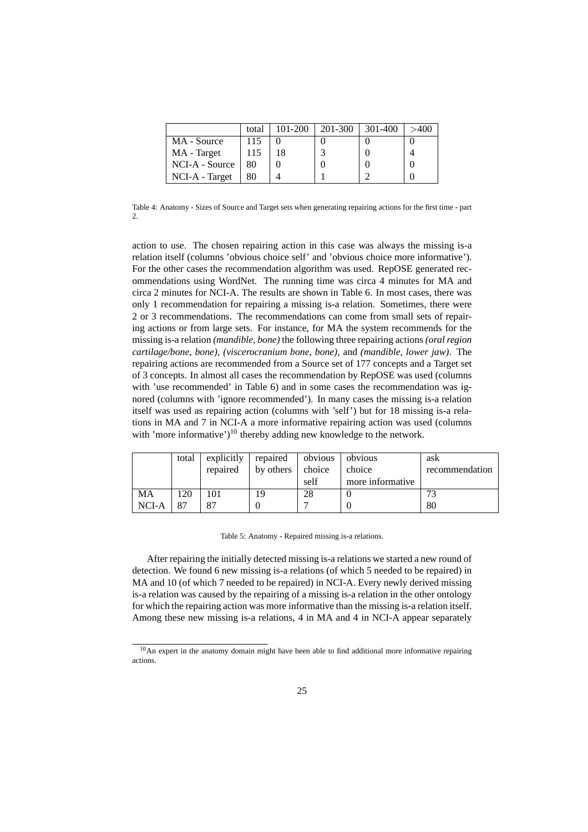|                | total | 101-200 | 201-300 | 301-400 | >400 |
|----------------|-------|---------|---------|---------|------|
| MA - Source    | 115   |         |         |         |      |
| MA - Target    | 115   |         |         |         |      |
| NCI-A - Source | 80    |         |         |         |      |
| NCI-A - Target | 80    |         |         |         |      |

Table 4: Anatomy - Sizes of Source and Target sets when generating repairing actions for the first time - part 2.

action to use. The chosen repairing action in this case was always the missing is-a relation itself (columns 'obvious choice self' and 'obvious choice more informative'). For the other cases the recommendation algorithm was used. RepOSE generated recommendations using WordNet. The running time was circa 4 minutes for MA and circa 2 minutes for NCI-A. The results are shown in Table 6. In most cases, there was only 1 recommendation for repairing a missing is-a relation. Sometimes, there were 2 or 3 recommendations. The recommendations can come from small sets of repairing actions or from large sets. For instance, for MA the system recommends for the missing is-a relation *(mandible, bone)* the following three repairing actions *(oral region cartilage/bone, bone)*, *(viscerocranium bone, bone)*, and *(mandible, lower jaw)*. The repairing actions are recommended from a Source set of 177 concepts and a Target set of 3 concepts. In almost all cases the recommendation by RepOSE was used (columns with 'use recommended' in Table 6) and in some cases the recommendation was ignored (columns with 'ignore recommended'). In many cases the missing is-a relation itself was used as repairing action (columns with 'self') but for 18 missing is-a relations in MA and 7 in NCI-A a more informative repairing action was used (columns with 'more informative')<sup>10</sup> thereby adding new knowledge to the network.

|       | total | explicitly | repaired  | obvious | obvious          | ask            |
|-------|-------|------------|-----------|---------|------------------|----------------|
|       |       | repaired   | by others | choice  | choice           | recommendation |
|       |       |            |           | self    | more informative |                |
| MA    | .20   | 101        | 19        | 28      |                  | 72             |
| NCI-A | 87    | 87         |           |         |                  | 80             |

Table 5: Anatomy - Repaired missing is-a relations.

After repairing the initially detected missing is-a relations we started a new round of detection. We found 6 new missing is-a relations (of which 5 needed to be repaired) in MA and 10 (of which 7 needed to be repaired) in NCI-A. Every newly derived missing is-a relation was caused by the repairing of a missing is-a relation in the other ontology for which the repairing action was more informative than the missing is-a relation itself. Among these new missing is-a relations, 4 in MA and 4 in NCI-A appear separately

 $10$ An expert in the anatomy domain might have been able to find additional more informative repairing actions.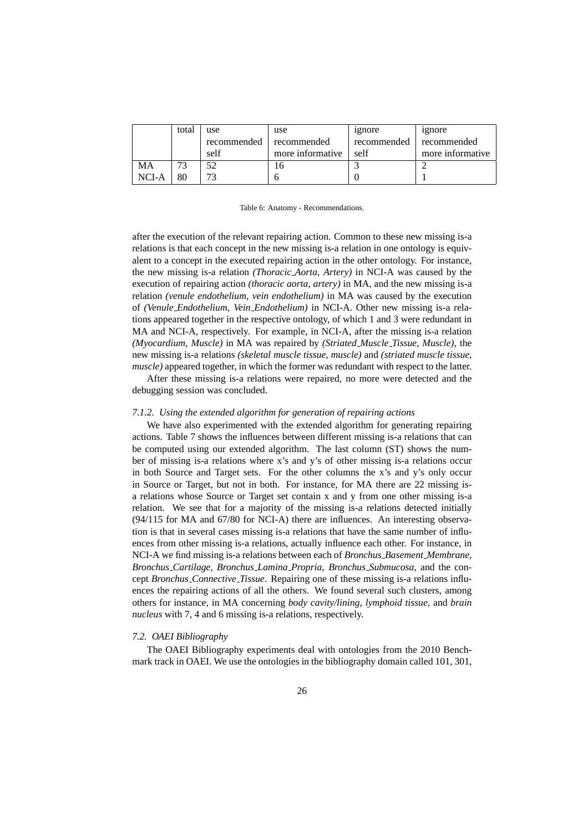|       | total | use         | use              | 1gnore      | 1gnore           |
|-------|-------|-------------|------------------|-------------|------------------|
|       |       | recommended | recommended      | recommended | recommended      |
|       |       | self        | more informative | self        | more informative |
| MA    | 73    | 52          | Ιb               |             |                  |
| NCI-A | 80    | 72          |                  |             |                  |

#### Table 6: Anatomy - Recommendations.

after the execution of the relevant repairing action. Common to these new missing is-a relations is that each concept in the new missing is-a relation in one ontology is equivalent to a concept in the executed repairing action in the other ontology. For instance, the new missing is-a relation *(Thoracic Aorta, Artery)* in NCI-A was caused by the execution of repairing action *(thoracic aorta, artery)* in MA, and the new missing is-a relation *(venule endothelium, vein endothelium)* in MA was caused by the execution of *(Venule Endothelium, Vein Endothelium)* in NCI-A. Other new missing is-a relations appeared together in the respective ontology, of which 1 and 3 were redundant in MA and NCI-A, respectively. For example, in NCI-A, after the missing is-a relation *(Myocardium, Muscle)* in MA was repaired by *(Striated Muscle Tissue, Muscle)*, the new missing is-a relations *(skeletal muscle tissue, muscle)* and *(striated muscle tissue, muscle)* appeared together, in which the former was redundant with respect to the latter.

After these missing is-a relations were repaired, no more were detected and the debugging session was concluded.

#### *7.1.2. Using the extended algorithm for generation of repairing actions*

We have also experimented with the extended algorithm for generating repairing actions. Table 7 shows the influences between different missing is-a relations that can be computed using our extended algorithm. The last column (ST) shows the number of missing is-a relations where x's and y's of other missing is-a relations occur in both Source and Target sets. For the other columns the x's and y's only occur in Source or Target, but not in both. For instance, for MA there are 22 missing isa relations whose Source or Target set contain x and y from one other missing is-a relation. We see that for a majority of the missing is-a relations detected initially (94/115 for MA and 67/80 for NCI-A) there are influences. An interesting observation is that in several cases missing is-a relations that have the same number of influences from other missing is-a relations, actually influence each other. For instance, in NCI-A we find missing is-a relations between each of *Bronchus Basement Membrane*, *Bronchus Cartilage*, *Bronchus Lamina Propria*, *Bronchus Submucosa*, and the concept *Bronchus Connective Tissue*. Repairing one of these missing is-a relations influences the repairing actions of all the others. We found several such clusters, among others for instance, in MA concerning *body cavity/lining*, *lymphoid tissue*, and *brain nucleus* with 7, 4 and 6 missing is-a relations, respectively.

#### *7.2. OAEI Bibliography*

The OAEI Bibliography experiments deal with ontologies from the 2010 Benchmark track in OAEI. We use the ontologies in the bibliography domain called 101, 301,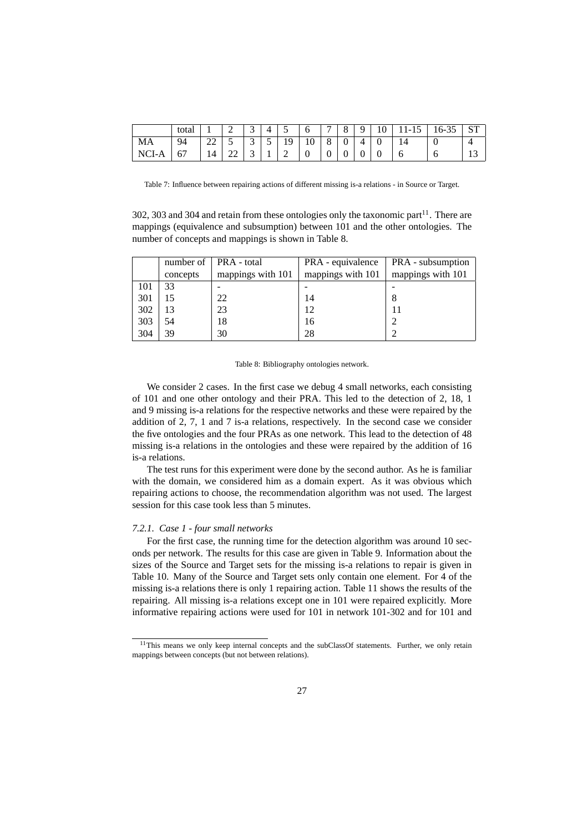|       | total |    |    | ້      |   |    |    | -       | O | Q | ΙV | $11 - 13$ | $16 - 35$ |   |
|-------|-------|----|----|--------|---|----|----|---------|---|---|----|-----------|-----------|---|
| - MA  | 94    | 44 |    | ⌒<br>້ | ັ | 19 | 10 | $\circ$ | 0 | 4 |    | 14        | U         |   |
| NCI-A | 67    | 14 | ZZ | ້      |   | ∼  |    | v       | U | U | ິ  | O         | O         | ⊥ |

Table 7: Influence between repairing actions of different missing is-a relations - in Source or Target.

302, 303 and 304 and retain from these ontologies only the taxonomic part $11$ . There are mappings (equivalence and subsumption) between 101 and the other ontologies. The number of concepts and mappings is shown in Table 8.

|     |          | number of   PRA - total | PRA - equivalence | PRA - subsumption |
|-----|----------|-------------------------|-------------------|-------------------|
|     | concepts | mappings with 101       | mappings with 101 | mappings with 101 |
| 101 | 33       |                         |                   |                   |
| 301 | 15       | 22                      | 14                |                   |
| 302 | 13       | 23                      | 12                | 11                |
| 303 | 54       | 18                      | 16                |                   |
| 304 | 39       | 30                      | 28                |                   |

# Table 8: Bibliography ontologies network.

We consider 2 cases. In the first case we debug 4 small networks, each consisting of 101 and one other ontology and their PRA. This led to the detection of 2, 18, 1 and 9 missing is-a relations for the respective networks and these were repaired by the addition of 2, 7, 1 and 7 is-a relations, respectively. In the second case we consider the five ontologies and the four PRAs as one network. This lead to the detection of 48 missing is-a relations in the ontologies and these were repaired by the addition of 16 is-a relations.

The test runs for this experiment were done by the second author. As he is familiar with the domain, we considered him as a domain expert. As it was obvious which repairing actions to choose, the recommendation algorithm was not used. The largest session for this case took less than 5 minutes.

# *7.2.1. Case 1 - four small networks*

For the first case, the running time for the detection algorithm was around 10 seconds per network. The results for this case are given in Table 9. Information about the sizes of the Source and Target sets for the missing is-a relations to repair is given in Table 10. Many of the Source and Target sets only contain one element. For 4 of the missing is-a relations there is only 1 repairing action. Table 11 shows the results of the repairing. All missing is-a relations except one in 101 were repaired explicitly. More informative repairing actions were used for 101 in network 101-302 and for 101 and

<sup>&</sup>lt;sup>11</sup>This means we only keep internal concepts and the subClassOf statements. Further, we only retain mappings between concepts (but not between relations).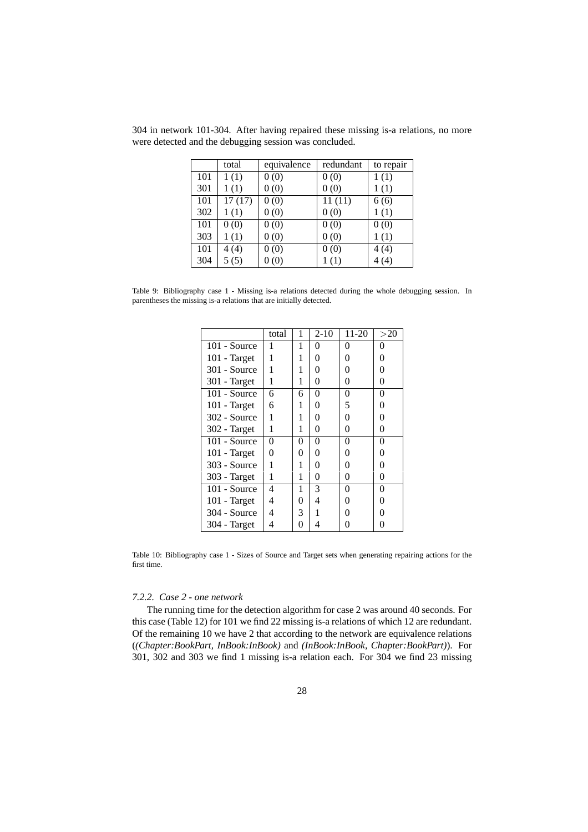|     |     | total  | equivalence | redundant | to repair |
|-----|-----|--------|-------------|-----------|-----------|
| 101 |     | 1(1)   | 0(0)        | 0(0)      | 1(1)      |
| 301 |     | 1(1)   | 0(0)        | 0(0)      | 1(1)      |
| 101 |     | 17(17) | 0(0)        | 11(11)    | 6(6)      |
|     | 302 | 1(1)   | 0(0)        | 0(0)      | 1(1)      |
| 101 |     | 0(0)   | 0(0)        | 0(0)      | 0(0)      |
| 303 |     | 1(1)   | 0(0)        | 0(0)      | 1(1)      |
| 101 |     | 4(4)   | 0(0)        | 0(0)      | 4(4)      |
|     | 304 | 5(5)   | 0(0)        | 1(1)      | 4(4)      |

304 in network 101-304. After having repaired these missing is-a relations, no more were detected and the debugging session was concluded.

Table 9: Bibliography case 1 - Missing is-a relations detected during the whole debugging session. In parentheses the missing is-a relations that are initially detected.

|                | total | 1 | $2 - 10$ | $11 - 20$ | >20 |
|----------------|-------|---|----------|-----------|-----|
| 101 - Source   | 1     | 1 | 0        | 0         | 0   |
| 101 - Target   | 1     | 1 | 0        | 0         | 0   |
| 301 - Source   | 1     | 1 | 0        | 0         | 0   |
| 301 - Target   | 1     | 1 | 0        | 0         | 0   |
| 101 - Source   | 6     | 6 | 0        | 0         | 0   |
| $101$ - Target | 6     | 1 | 0        | 5         | 0   |
| 302 - Source   | 1     | 1 | 0        | 0         | 0   |
| 302 - Target   | 1     | 1 | 0        | 0         | 0   |
| $101 - Source$ | 0     | 0 | 0        | 0         | 0   |
| $101$ - Target | 0     | 0 | 0        | 0         | 0   |
| 303 - Source   | 1     | 1 | 0        | 0         | 0   |
| 303 - Target   | 1     | 1 | 0        | 0         | 0   |
| 101 - Source   | 4     | 1 | 3        | 0         | 0   |
| 101 - Target   | 4     | 0 | 4        | 0         | 0   |
| 304 - Source   | 4     | 3 | 1        | 0         | 0   |
| 304 - Target   | 4     | 0 | 4        | 0         | 0   |

Table 10: Bibliography case 1 - Sizes of Source and Target sets when generating repairing actions for the first time.

# *7.2.2. Case 2 - one network*

The running time for the detection algorithm for case 2 was around 40 seconds. For this case (Table 12) for 101 we find 22 missing is-a relations of which 12 are redundant. Of the remaining 10 we have 2 that according to the network are equivalence relations (*(Chapter:BookPart, InBook:InBook)* and *(InBook:InBook, Chapter:BookPart)*). For 301, 302 and 303 we find 1 missing is-a relation each. For 304 we find 23 missing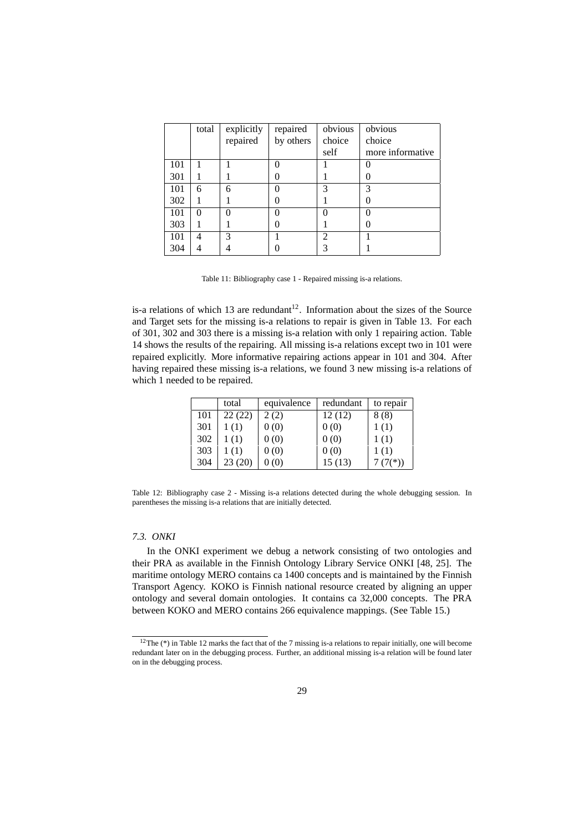|     | total | explicitly | repaired  | obvious       | obvious          |
|-----|-------|------------|-----------|---------------|------------------|
|     |       | repaired   | by others | choice        | choice           |
|     |       |            |           | self          | more informative |
| 101 |       |            |           |               |                  |
| 301 |       |            |           |               |                  |
| 101 | 6     | 6          |           | 3             | 3                |
| 302 |       |            |           |               |                  |
| 101 | 0     | $\Omega$   |           |               | $\cup$           |
| 303 |       |            |           |               |                  |
| 101 | 4     | 3          |           | $\mathcal{D}$ |                  |
| 304 |       |            |           | 3             |                  |

Table 11: Bibliography case 1 - Repaired missing is-a relations.

is-a relations of which 13 are redundant<sup>12</sup>. Information about the sizes of the Source and Target sets for the missing is-a relations to repair is given in Table 13. For each of 301, 302 and 303 there is a missing is-a relation with only 1 repairing action. Table 14 shows the results of the repairing. All missing is-a relations except two in 101 were repaired explicitly. More informative repairing actions appear in 101 and 304. After having repaired these missing is-a relations, we found 3 new missing is-a relations of which 1 needed to be repaired.

|     | total  | equivalence | redundant | to repair |
|-----|--------|-------------|-----------|-----------|
| 101 | 22(22) | 2(2)        | 12(12)    | 8(8)      |
| 301 | 1(1)   | 0(0)        | 0(0)      | 1(1)      |
| 302 | 1(1)   | 0(0)        | 0(0)      | 1(1)      |
| 303 | 1 (1)  | 0(0)        | 0(0)      | 1(1)      |
| 304 | 23(20) |             | 15 (13)   | $(7(*)$   |

Table 12: Bibliography case 2 - Missing is-a relations detected during the whole debugging session. In parentheses the missing is-a relations that are initially detected.

# *7.3. ONKI*

In the ONKI experiment we debug a network consisting of two ontologies and their PRA as available in the Finnish Ontology Library Service ONKI [48, 25]. The maritime ontology MERO contains ca 1400 concepts and is maintained by the Finnish Transport Agency. KOKO is Finnish national resource created by aligning an upper ontology and several domain ontologies. It contains ca 32,000 concepts. The PRA between KOKO and MERO contains 266 equivalence mappings. (See Table 15.)

<sup>12</sup>The (\*) in Table 12 marks the fact that of the 7 missing is-a relations to repair initially, one will become redundant later on in the debugging process. Further, an additional missing is-a relation will be found later on in the debugging process.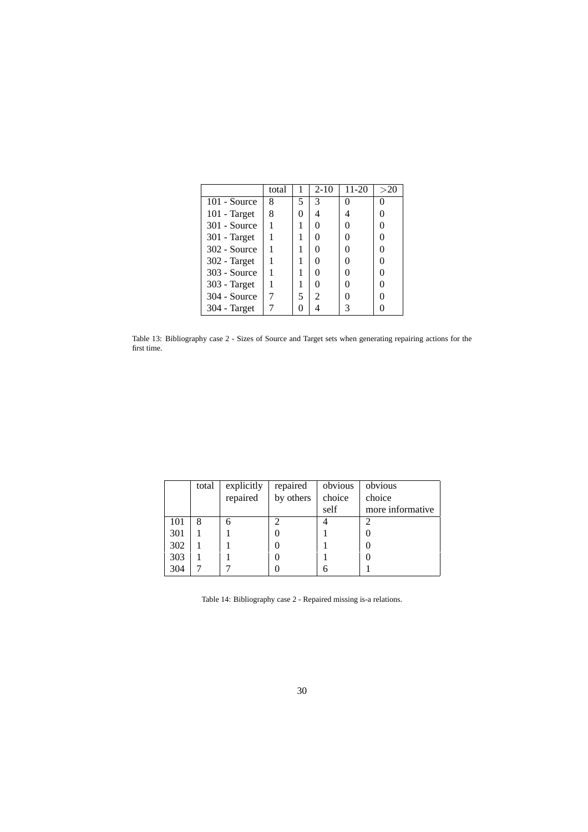|                | total |    | $2-10$ | $11 - 20$ | >20 |
|----------------|-------|----|--------|-----------|-----|
| 101 - Source   | 8     | 5. | 3      |           |     |
| $101$ - Target | 8     | 0  |        |           |     |
| 301 - Source   |       |    | 0      |           |     |
| 301 - Target   |       |    | 0      |           |     |
| $302$ - Source |       |    | 0      |           |     |
| 302 - Target   |       |    | 0      |           |     |
| 303 - Source   |       |    | 0      |           |     |
| 303 - Target   |       |    | 0      |           |     |
| 304 - Source   |       | 5  | 2      |           |     |
| $304$ - Target |       |    |        | 3         |     |

Table 13: Bibliography case 2 - Sizes of Source and Target sets when generating repairing actions for the first time.

|     | total | explicitly | repaired  | obvious | obvious          |
|-----|-------|------------|-----------|---------|------------------|
|     |       | repaired   | by others | choice  | choice           |
|     |       |            |           | self    | more informative |
| 101 | 8     |            |           |         |                  |
| 301 |       |            |           |         |                  |
| 302 |       |            |           |         |                  |
| 303 |       |            |           |         |                  |
| 304 |       |            |           | 6       |                  |

Table 14: Bibliography case 2 - Repaired missing is-a relations.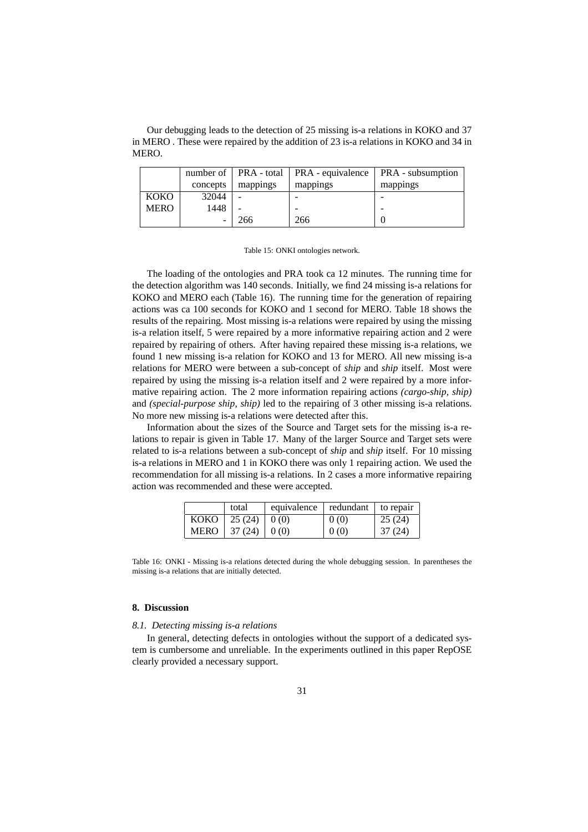Our debugging leads to the detection of 25 missing is-a relations in KOKO and 37 in MERO . These were repaired by the addition of 23 is-a relations in KOKO and 34 in MERO.

|             |          |          |          | number of   PRA - total   PRA - equivalence   PRA - subsumption |
|-------------|----------|----------|----------|-----------------------------------------------------------------|
|             | concepts | mappings | mappings | mappings                                                        |
| <b>KOKO</b> | 32044    |          |          |                                                                 |
| <b>MERO</b> | 1448     |          |          |                                                                 |
|             |          | 266.     | 266      |                                                                 |

Table 15: ONKI ontologies network.

The loading of the ontologies and PRA took ca 12 minutes. The running time for the detection algorithm was 140 seconds. Initially, we find 24 missing is-a relations for KOKO and MERO each (Table 16). The running time for the generation of repairing actions was ca 100 seconds for KOKO and 1 second for MERO. Table 18 shows the results of the repairing. Most missing is-a relations were repaired by using the missing is-a relation itself, 5 were repaired by a more informative repairing action and 2 were repaired by repairing of others. After having repaired these missing is-a relations, we found 1 new missing is-a relation for KOKO and 13 for MERO. All new missing is-a relations for MERO were between a sub-concept of *ship* and *ship* itself. Most were repaired by using the missing is-a relation itself and 2 were repaired by a more informative repairing action. The 2 more information repairing actions *(cargo-ship, ship)* and *(special-purpose ship, ship)* led to the repairing of 3 other missing is-a relations. No more new missing is-a relations were detected after this.

Information about the sizes of the Source and Target sets for the missing is-a relations to repair is given in Table 17. Many of the larger Source and Target sets were related to is-a relations between a sub-concept of *ship* and *ship* itself. For 10 missing is-a relations in MERO and 1 in KOKO there was only 1 repairing action. We used the recommendation for all missing is-a relations. In 2 cases a more informative repairing action was recommended and these were accepted.

|             | total                  | equivalence | redundant to repair |         |
|-------------|------------------------|-------------|---------------------|---------|
|             | KOKO   25 (24)   0 (0) |             | 0(0)                | 25(24)  |
| <b>MERO</b> | 37(24) 0(0)            |             | 0(0)                | 37 (24) |

Table 16: ONKI - Missing is-a relations detected during the whole debugging session. In parentheses the missing is-a relations that are initially detected.

### **8. Discussion**

#### *8.1. Detecting missing is-a relations*

In general, detecting defects in ontologies without the support of a dedicated system is cumbersome and unreliable. In the experiments outlined in this paper RepOSE clearly provided a necessary support.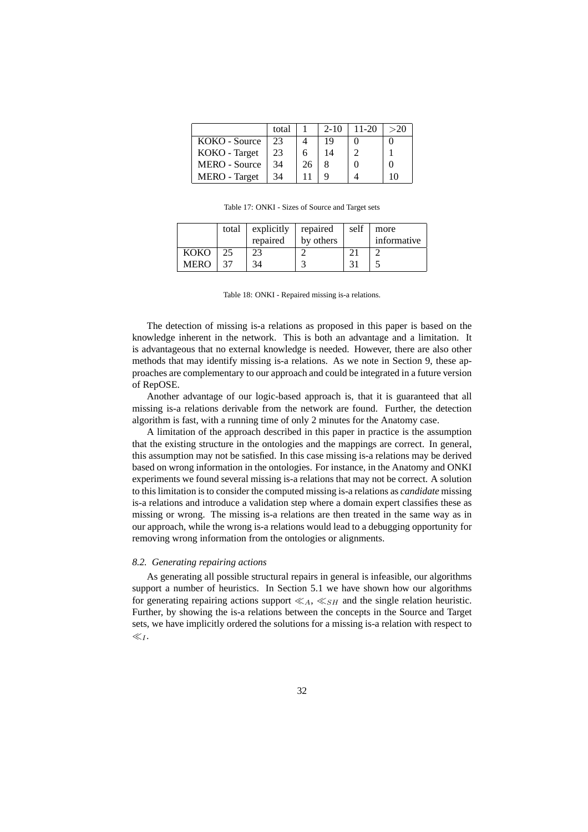|                      | total |    | $2 - 10$ | 11-20 | >20 |
|----------------------|-------|----|----------|-------|-----|
| KOKO - Source        | 23    |    | 19       |       |     |
| KOKO - Target        | 23    |    | 14       |       |     |
| <b>MERO</b> - Source | 34    | 26 |          |       |     |
| <b>MERO</b> - Target | 34    |    |          |       | 10  |

Table 17: ONKI - Sizes of Source and Target sets

|             | total | explicitly | repaired  | self | more        |
|-------------|-------|------------|-----------|------|-------------|
|             |       | repaired   | by others |      | informative |
| <b>KOKO</b> | 25    | 23         |           |      |             |
| <b>MERO</b> |       | 34         | 3         |      |             |

Table 18: ONKI - Repaired missing is-a relations.

The detection of missing is-a relations as proposed in this paper is based on the knowledge inherent in the network. This is both an advantage and a limitation. It is advantageous that no external knowledge is needed. However, there are also other methods that may identify missing is-a relations. As we note in Section 9, these approaches are complementary to our approach and could be integrated in a future version of RepOSE.

Another advantage of our logic-based approach is, that it is guaranteed that all missing is-a relations derivable from the network are found. Further, the detection algorithm is fast, with a running time of only 2 minutes for the Anatomy case.

A limitation of the approach described in this paper in practice is the assumption that the existing structure in the ontologies and the mappings are correct. In general, this assumption may not be satisfied. In this case missing is-a relations may be derived based on wrong information in the ontologies. For instance, in the Anatomy and ONKI experiments we found several missing is-a relations that may not be correct. A solution to this limitation is to consider the computed missing is-a relations as *candidate* missing is-a relations and introduce a validation step where a domain expert classifies these as missing or wrong. The missing is-a relations are then treated in the same way as in our approach, while the wrong is-a relations would lead to a debugging opportunity for removing wrong information from the ontologies or alignments.

# *8.2. Generating repairing actions*

As generating all possible structural repairs in general is infeasible, our algorithms support a number of heuristics. In Section 5.1 we have shown how our algorithms for generating repairing actions support  $\ll_{A}$ ,  $\ll_{SH}$  and the single relation heuristic. Further, by showing the is-a relations between the concepts in the Source and Target sets, we have implicitly ordered the solutions for a missing is-a relation with respect to  $\ll_I$ .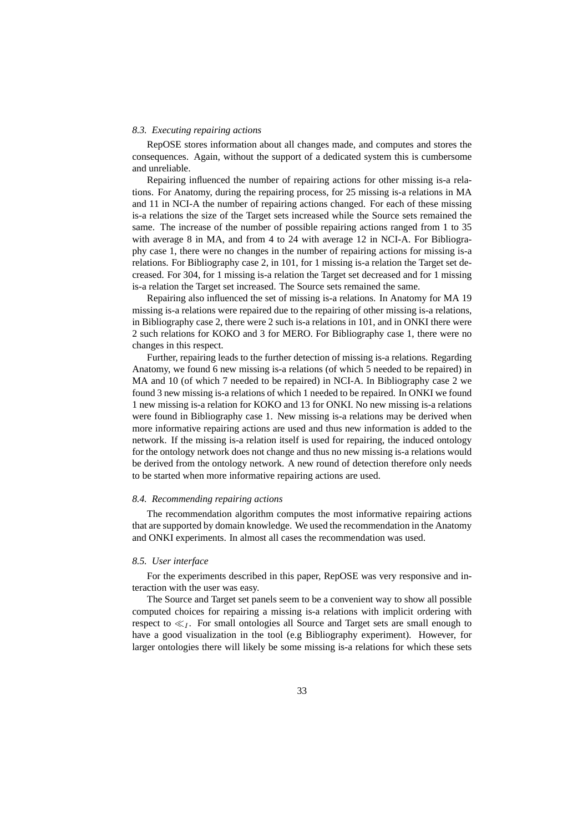### *8.3. Executing repairing actions*

RepOSE stores information about all changes made, and computes and stores the consequences. Again, without the support of a dedicated system this is cumbersome and unreliable.

Repairing influenced the number of repairing actions for other missing is-a relations. For Anatomy, during the repairing process, for 25 missing is-a relations in MA and 11 in NCI-A the number of repairing actions changed. For each of these missing is-a relations the size of the Target sets increased while the Source sets remained the same. The increase of the number of possible repairing actions ranged from 1 to 35 with average 8 in MA, and from 4 to 24 with average 12 in NCI-A. For Bibliography case 1, there were no changes in the number of repairing actions for missing is-a relations. For Bibliography case 2, in 101, for 1 missing is-a relation the Target set decreased. For 304, for 1 missing is-a relation the Target set decreased and for 1 missing is-a relation the Target set increased. The Source sets remained the same.

Repairing also influenced the set of missing is-a relations. In Anatomy for MA 19 missing is-a relations were repaired due to the repairing of other missing is-a relations, in Bibliography case 2, there were 2 such is-a relations in 101, and in ONKI there were 2 such relations for KOKO and 3 for MERO. For Bibliography case 1, there were no changes in this respect.

Further, repairing leads to the further detection of missing is-a relations. Regarding Anatomy, we found 6 new missing is-a relations (of which 5 needed to be repaired) in MA and 10 (of which 7 needed to be repaired) in NCI-A. In Bibliography case 2 we found 3 new missing is-a relations of which 1 needed to be repaired. In ONKI we found 1 new missing is-a relation for KOKO and 13 for ONKI. No new missing is-a relations were found in Bibliography case 1. New missing is-a relations may be derived when more informative repairing actions are used and thus new information is added to the network. If the missing is-a relation itself is used for repairing, the induced ontology for the ontology network does not change and thus no new missing is-a relations would be derived from the ontology network. A new round of detection therefore only needs to be started when more informative repairing actions are used.

# *8.4. Recommending repairing actions*

The recommendation algorithm computes the most informative repairing actions that are supported by domain knowledge. We used the recommendation in the Anatomy and ONKI experiments. In almost all cases the recommendation was used.

### *8.5. User interface*

For the experiments described in this paper, RepOSE was very responsive and interaction with the user was easy.

The Source and Target set panels seem to be a convenient way to show all possible computed choices for repairing a missing is-a relations with implicit ordering with respect to  $\ll_l$ . For small ontologies all Source and Target sets are small enough to have a good visualization in the tool (e.g Bibliography experiment). However, for larger ontologies there will likely be some missing is-a relations for which these sets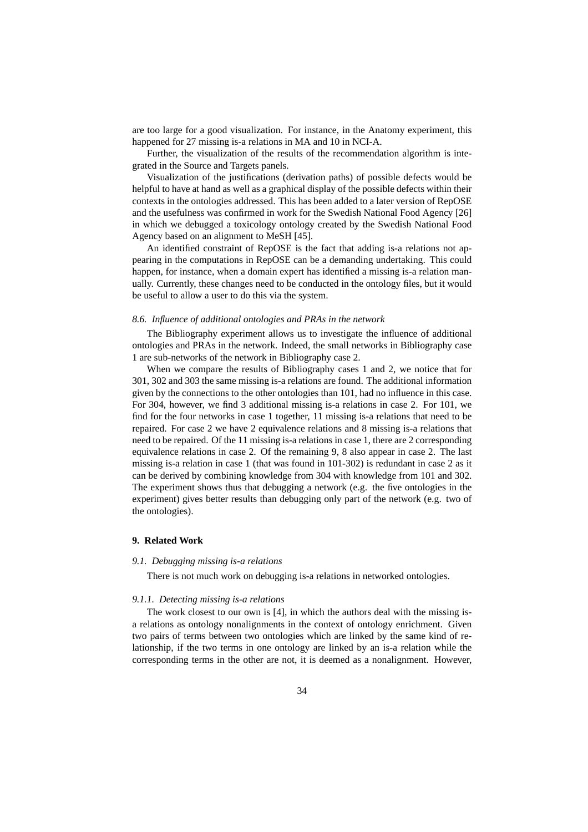are too large for a good visualization. For instance, in the Anatomy experiment, this happened for 27 missing is-a relations in MA and 10 in NCI-A.

Further, the visualization of the results of the recommendation algorithm is integrated in the Source and Targets panels.

Visualization of the justifications (derivation paths) of possible defects would be helpful to have at hand as well as a graphical display of the possible defects within their contexts in the ontologies addressed. This has been added to a later version of RepOSE and the usefulness was confirmed in work for the Swedish National Food Agency [26] in which we debugged a toxicology ontology created by the Swedish National Food Agency based on an alignment to MeSH [45].

An identified constraint of RepOSE is the fact that adding is-a relations not appearing in the computations in RepOSE can be a demanding undertaking. This could happen, for instance, when a domain expert has identified a missing is-a relation manually. Currently, these changes need to be conducted in the ontology files, but it would be useful to allow a user to do this via the system.

# *8.6. Influence of additional ontologies and PRAs in the network*

The Bibliography experiment allows us to investigate the influence of additional ontologies and PRAs in the network. Indeed, the small networks in Bibliography case 1 are sub-networks of the network in Bibliography case 2.

When we compare the results of Bibliography cases 1 and 2, we notice that for 301, 302 and 303 the same missing is-a relations are found. The additional information given by the connections to the other ontologies than 101, had no influence in this case. For 304, however, we find 3 additional missing is-a relations in case 2. For 101, we find for the four networks in case 1 together, 11 missing is-a relations that need to be repaired. For case 2 we have 2 equivalence relations and 8 missing is-a relations that need to be repaired. Of the 11 missing is-a relations in case 1, there are 2 corresponding equivalence relations in case 2. Of the remaining 9, 8 also appear in case 2. The last missing is-a relation in case 1 (that was found in 101-302) is redundant in case 2 as it can be derived by combining knowledge from 304 with knowledge from 101 and 302. The experiment shows thus that debugging a network (e.g. the five ontologies in the experiment) gives better results than debugging only part of the network (e.g. two of the ontologies).

### **9. Related Work**

#### *9.1. Debugging missing is-a relations*

There is not much work on debugging is-a relations in networked ontologies.

### *9.1.1. Detecting missing is-a relations*

The work closest to our own is [4], in which the authors deal with the missing isa relations as ontology nonalignments in the context of ontology enrichment. Given two pairs of terms between two ontologies which are linked by the same kind of relationship, if the two terms in one ontology are linked by an is-a relation while the corresponding terms in the other are not, it is deemed as a nonalignment. However,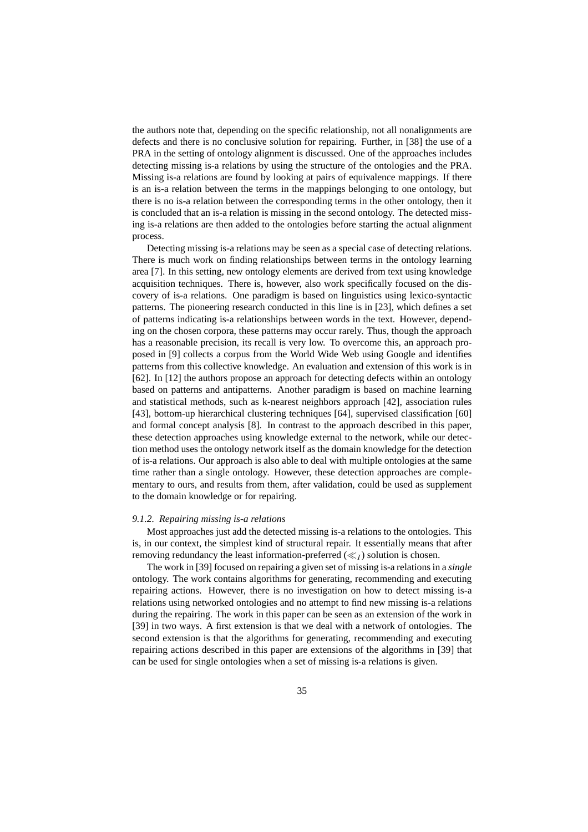the authors note that, depending on the specific relationship, not all nonalignments are defects and there is no conclusive solution for repairing. Further, in [38] the use of a PRA in the setting of ontology alignment is discussed. One of the approaches includes detecting missing is-a relations by using the structure of the ontologies and the PRA. Missing is-a relations are found by looking at pairs of equivalence mappings. If there is an is-a relation between the terms in the mappings belonging to one ontology, but there is no is-a relation between the corresponding terms in the other ontology, then it is concluded that an is-a relation is missing in the second ontology. The detected missing is-a relations are then added to the ontologies before starting the actual alignment process.

Detecting missing is-a relations may be seen as a special case of detecting relations. There is much work on finding relationships between terms in the ontology learning area [7]. In this setting, new ontology elements are derived from text using knowledge acquisition techniques. There is, however, also work specifically focused on the discovery of is-a relations. One paradigm is based on linguistics using lexico-syntactic patterns. The pioneering research conducted in this line is in [23], which defines a set of patterns indicating is-a relationships between words in the text. However, depending on the chosen corpora, these patterns may occur rarely. Thus, though the approach has a reasonable precision, its recall is very low. To overcome this, an approach proposed in [9] collects a corpus from the World Wide Web using Google and identifies patterns from this collective knowledge. An evaluation and extension of this work is in [62]. In [12] the authors propose an approach for detecting defects within an ontology based on patterns and antipatterns. Another paradigm is based on machine learning and statistical methods, such as k-nearest neighbors approach [42], association rules [43], bottom-up hierarchical clustering techniques [64], supervised classification [60] and formal concept analysis [8]. In contrast to the approach described in this paper, these detection approaches using knowledge external to the network, while our detection method uses the ontology network itself as the domain knowledge for the detection of is-a relations. Our approach is also able to deal with multiple ontologies at the same time rather than a single ontology. However, these detection approaches are complementary to ours, and results from them, after validation, could be used as supplement to the domain knowledge or for repairing.

# *9.1.2. Repairing missing is-a relations*

Most approaches just add the detected missing is-a relations to the ontologies. This is, in our context, the simplest kind of structural repair. It essentially means that after removing redundancy the least information-preferred ( $\ll_I$ ) solution is chosen.

The work in [39] focused on repairing a given set of missing is-a relations in a *single* ontology. The work contains algorithms for generating, recommending and executing repairing actions. However, there is no investigation on how to detect missing is-a relations using networked ontologies and no attempt to find new missing is-a relations during the repairing. The work in this paper can be seen as an extension of the work in [39] in two ways. A first extension is that we deal with a network of ontologies. The second extension is that the algorithms for generating, recommending and executing repairing actions described in this paper are extensions of the algorithms in [39] that can be used for single ontologies when a set of missing is-a relations is given.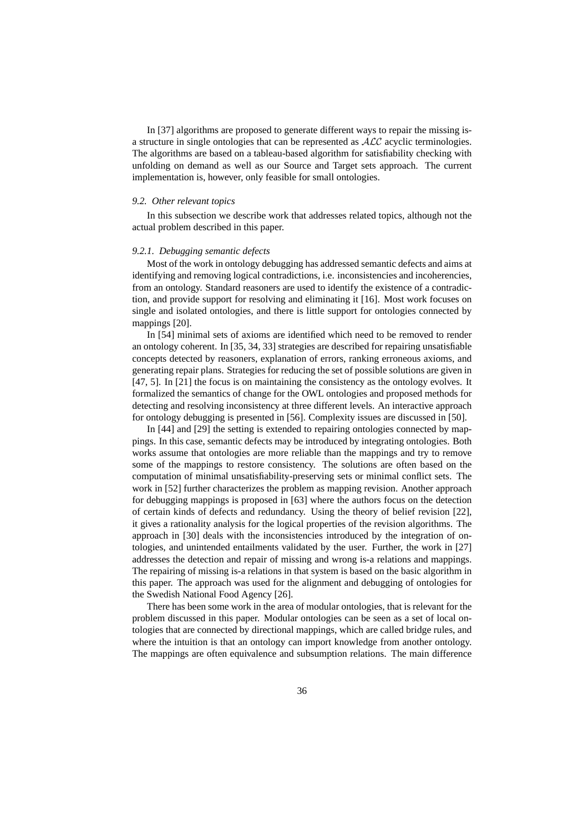In [37] algorithms are proposed to generate different ways to repair the missing isa structure in single ontologies that can be represented as ALC acyclic terminologies. The algorithms are based on a tableau-based algorithm for satisfiability checking with unfolding on demand as well as our Source and Target sets approach. The current implementation is, however, only feasible for small ontologies.

#### *9.2. Other relevant topics*

In this subsection we describe work that addresses related topics, although not the actual problem described in this paper.

#### *9.2.1. Debugging semantic defects*

Most of the work in ontology debugging has addressed semantic defects and aims at identifying and removing logical contradictions, i.e. inconsistencies and incoherencies, from an ontology. Standard reasoners are used to identify the existence of a contradiction, and provide support for resolving and eliminating it [16]. Most work focuses on single and isolated ontologies, and there is little support for ontologies connected by mappings [20].

In [54] minimal sets of axioms are identified which need to be removed to render an ontology coherent. In [35, 34, 33] strategies are described for repairing unsatisfiable concepts detected by reasoners, explanation of errors, ranking erroneous axioms, and generating repair plans. Strategies for reducing the set of possible solutions are given in [47, 5]. In [21] the focus is on maintaining the consistency as the ontology evolves. It formalized the semantics of change for the OWL ontologies and proposed methods for detecting and resolving inconsistency at three different levels. An interactive approach for ontology debugging is presented in [56]. Complexity issues are discussed in [50].

In [44] and [29] the setting is extended to repairing ontologies connected by mappings. In this case, semantic defects may be introduced by integrating ontologies. Both works assume that ontologies are more reliable than the mappings and try to remove some of the mappings to restore consistency. The solutions are often based on the computation of minimal unsatisfiability-preserving sets or minimal conflict sets. The work in [52] further characterizes the problem as mapping revision. Another approach for debugging mappings is proposed in [63] where the authors focus on the detection of certain kinds of defects and redundancy. Using the theory of belief revision [22], it gives a rationality analysis for the logical properties of the revision algorithms. The approach in [30] deals with the inconsistencies introduced by the integration of ontologies, and unintended entailments validated by the user. Further, the work in [27] addresses the detection and repair of missing and wrong is-a relations and mappings. The repairing of missing is-a relations in that system is based on the basic algorithm in this paper. The approach was used for the alignment and debugging of ontologies for the Swedish National Food Agency [26].

There has been some work in the area of modular ontologies, that is relevant for the problem discussed in this paper. Modular ontologies can be seen as a set of local ontologies that are connected by directional mappings, which are called bridge rules, and where the intuition is that an ontology can import knowledge from another ontology. The mappings are often equivalence and subsumption relations. The main difference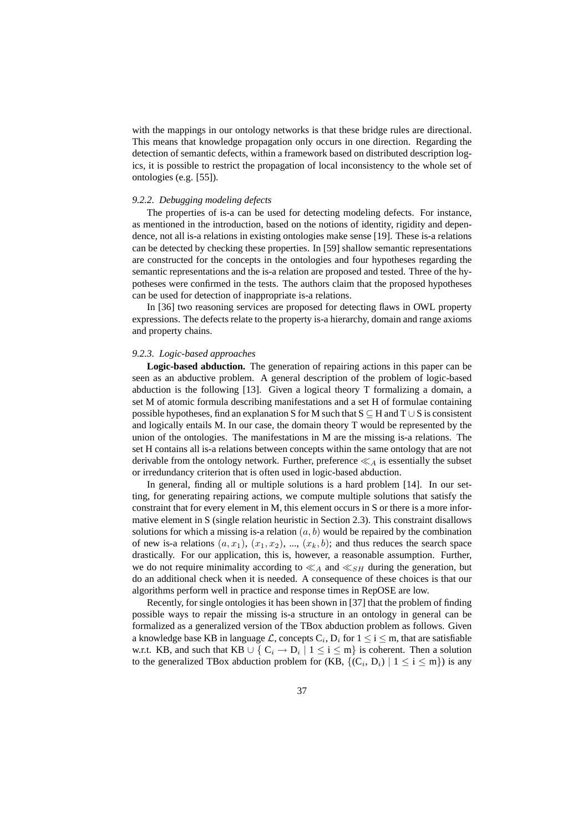with the mappings in our ontology networks is that these bridge rules are directional. This means that knowledge propagation only occurs in one direction. Regarding the detection of semantic defects, within a framework based on distributed description logics, it is possible to restrict the propagation of local inconsistency to the whole set of ontologies (e.g. [55]).

### *9.2.2. Debugging modeling defects*

The properties of is-a can be used for detecting modeling defects. For instance, as mentioned in the introduction, based on the notions of identity, rigidity and dependence, not all is-a relations in existing ontologies make sense [19]. These is-a relations can be detected by checking these properties. In [59] shallow semantic representations are constructed for the concepts in the ontologies and four hypotheses regarding the semantic representations and the is-a relation are proposed and tested. Three of the hypotheses were confirmed in the tests. The authors claim that the proposed hypotheses can be used for detection of inappropriate is-a relations.

In [36] two reasoning services are proposed for detecting flaws in OWL property expressions. The defects relate to the property is-a hierarchy, domain and range axioms and property chains.

#### *9.2.3. Logic-based approaches*

**Logic-based abduction.** The generation of repairing actions in this paper can be seen as an abductive problem. A general description of the problem of logic-based abduction is the following [13]. Given a logical theory T formalizing a domain, a set M of atomic formula describing manifestations and a set H of formulae containing possible hypotheses, find an explanation S for M such that  $S \subseteq H$  and  $T \cup S$  is consistent and logically entails M. In our case, the domain theory T would be represented by the union of the ontologies. The manifestations in M are the missing is-a relations. The set H contains all is-a relations between concepts within the same ontology that are not derivable from the ontology network. Further, preference  $\ll_A$  is essentially the subset or irredundancy criterion that is often used in logic-based abduction.

In general, finding all or multiple solutions is a hard problem [14]. In our setting, for generating repairing actions, we compute multiple solutions that satisfy the constraint that for every element in M, this element occurs in S or there is a more informative element in S (single relation heuristic in Section 2.3). This constraint disallows solutions for which a missing is-a relation  $(a, b)$  would be repaired by the combination of new is-a relations  $(a, x_1)$ ,  $(x_1, x_2)$ , ...,  $(x_k, b)$ ; and thus reduces the search space drastically. For our application, this is, however, a reasonable assumption. Further, we do not require minimality according to  $\ll_A$  and  $\ll_{SH}$  during the generation, but do an additional check when it is needed. A consequence of these choices is that our algorithms perform well in practice and response times in RepOSE are low.

Recently, for single ontologies it has been shown in [37] that the problem of finding possible ways to repair the missing is-a structure in an ontology in general can be formalized as a generalized version of the TBox abduction problem as follows. Given a knowledge base KB in language  $\mathcal{L}$ , concepts  $\mathrm{C}_i, \mathrm{D}_i$  for  $1 \leq i \leq m$ , that are satisfiable w.r.t. KB, and such that KB  $\cup \{ C_i \rightarrow D_i \mid 1 \leq i \leq m \}$  is coherent. Then a solution to the generalized TBox abduction problem for (KB,  $\{(C_i, D_i) | 1 \le i \le m\}$ ) is any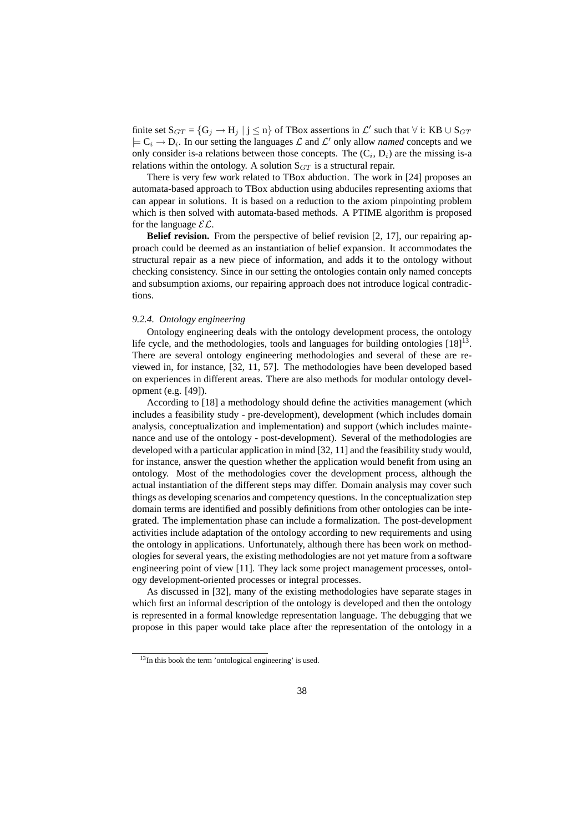finite set  $S_{GT} = \{G_j \to H_j \mid j \leq n\}$  of TBox assertions in  $\mathcal{L}'$  such that  $\forall$  i: KB  $\cup$   $S_{GT}$  $\models C_i \rightarrow D_i$ . In our setting the languages L and L' only allow *named* concepts and we only consider is-a relations between those concepts. The  $(C_i, D_i)$  are the missing is-a relations within the ontology. A solution  $S<sub>GT</sub>$  is a structural repair.

There is very few work related to TBox abduction. The work in [24] proposes an automata-based approach to TBox abduction using abduciles representing axioms that can appear in solutions. It is based on a reduction to the axiom pinpointing problem which is then solved with automata-based methods. A PTIME algorithm is proposed for the language  $\mathcal{EL}$ .

**Belief revision.** From the perspective of belief revision [2, 17], our repairing approach could be deemed as an instantiation of belief expansion. It accommodates the structural repair as a new piece of information, and adds it to the ontology without checking consistency. Since in our setting the ontologies contain only named concepts and subsumption axioms, our repairing approach does not introduce logical contradictions.

# *9.2.4. Ontology engineering*

Ontology engineering deals with the ontology development process, the ontology life cycle, and the methodologies, tools and languages for building ontologies  $[18]^{13}$ . There are several ontology engineering methodologies and several of these are reviewed in, for instance, [32, 11, 57]. The methodologies have been developed based on experiences in different areas. There are also methods for modular ontology development (e.g. [49]).

According to [18] a methodology should define the activities management (which includes a feasibility study - pre-development), development (which includes domain analysis, conceptualization and implementation) and support (which includes maintenance and use of the ontology - post-development). Several of the methodologies are developed with a particular application in mind [32, 11] and the feasibility study would, for instance, answer the question whether the application would benefit from using an ontology. Most of the methodologies cover the development process, although the actual instantiation of the different steps may differ. Domain analysis may cover such things as developing scenarios and competency questions. In the conceptualization step domain terms are identified and possibly definitions from other ontologies can be integrated. The implementation phase can include a formalization. The post-development activities include adaptation of the ontology according to new requirements and using the ontology in applications. Unfortunately, although there has been work on methodologies for several years, the existing methodologies are not yet mature from a software engineering point of view [11]. They lack some project management processes, ontology development-oriented processes or integral processes.

As discussed in [32], many of the existing methodologies have separate stages in which first an informal description of the ontology is developed and then the ontology is represented in a formal knowledge representation language. The debugging that we propose in this paper would take place after the representation of the ontology in a

<sup>&</sup>lt;sup>13</sup>In this book the term 'ontological engineering' is used.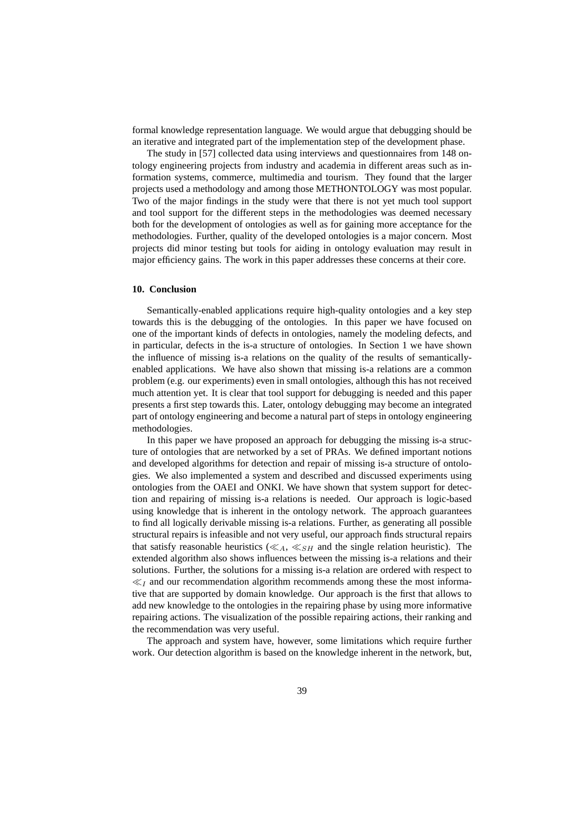formal knowledge representation language. We would argue that debugging should be an iterative and integrated part of the implementation step of the development phase.

The study in [57] collected data using interviews and questionnaires from 148 ontology engineering projects from industry and academia in different areas such as information systems, commerce, multimedia and tourism. They found that the larger projects used a methodology and among those METHONTOLOGY was most popular. Two of the major findings in the study were that there is not yet much tool support and tool support for the different steps in the methodologies was deemed necessary both for the development of ontologies as well as for gaining more acceptance for the methodologies. Further, quality of the developed ontologies is a major concern. Most projects did minor testing but tools for aiding in ontology evaluation may result in major efficiency gains. The work in this paper addresses these concerns at their core.

# **10. Conclusion**

Semantically-enabled applications require high-quality ontologies and a key step towards this is the debugging of the ontologies. In this paper we have focused on one of the important kinds of defects in ontologies, namely the modeling defects, and in particular, defects in the is-a structure of ontologies. In Section 1 we have shown the influence of missing is-a relations on the quality of the results of semanticallyenabled applications. We have also shown that missing is-a relations are a common problem (e.g. our experiments) even in small ontologies, although this has not received much attention yet. It is clear that tool support for debugging is needed and this paper presents a first step towards this. Later, ontology debugging may become an integrated part of ontology engineering and become a natural part of steps in ontology engineering methodologies.

In this paper we have proposed an approach for debugging the missing is-a structure of ontologies that are networked by a set of PRAs. We defined important notions and developed algorithms for detection and repair of missing is-a structure of ontologies. We also implemented a system and described and discussed experiments using ontologies from the OAEI and ONKI. We have shown that system support for detection and repairing of missing is-a relations is needed. Our approach is logic-based using knowledge that is inherent in the ontology network. The approach guarantees to find all logically derivable missing is-a relations. Further, as generating all possible structural repairs is infeasible and not very useful, our approach finds structural repairs that satisfy reasonable heuristics ( $\ll_A$ ,  $\ll_{SH}$  and the single relation heuristic). The extended algorithm also shows influences between the missing is-a relations and their solutions. Further, the solutions for a missing is-a relation are ordered with respect to  $\ll$ <sub>I</sub> and our recommendation algorithm recommends among these the most informative that are supported by domain knowledge. Our approach is the first that allows to add new knowledge to the ontologies in the repairing phase by using more informative repairing actions. The visualization of the possible repairing actions, their ranking and the recommendation was very useful.

The approach and system have, however, some limitations which require further work. Our detection algorithm is based on the knowledge inherent in the network, but,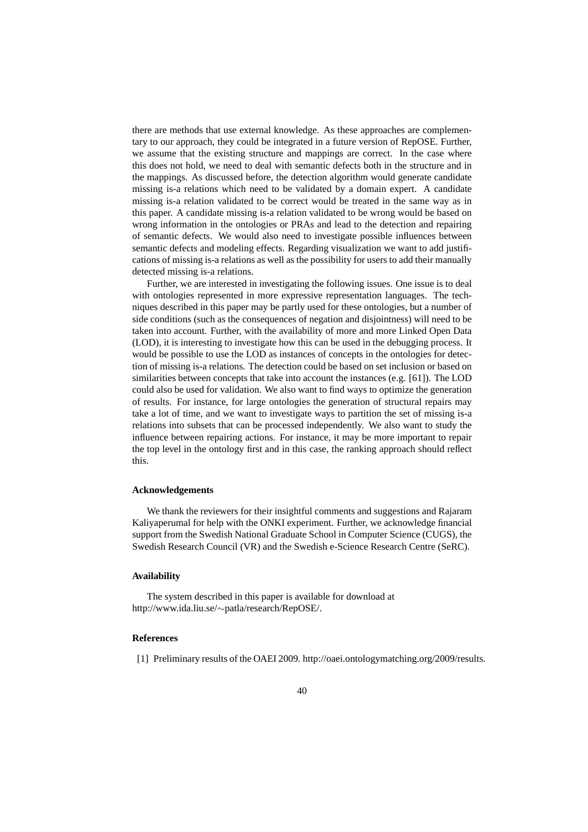there are methods that use external knowledge. As these approaches are complementary to our approach, they could be integrated in a future version of RepOSE. Further, we assume that the existing structure and mappings are correct. In the case where this does not hold, we need to deal with semantic defects both in the structure and in the mappings. As discussed before, the detection algorithm would generate candidate missing is-a relations which need to be validated by a domain expert. A candidate missing is-a relation validated to be correct would be treated in the same way as in this paper. A candidate missing is-a relation validated to be wrong would be based on wrong information in the ontologies or PRAs and lead to the detection and repairing of semantic defects. We would also need to investigate possible influences between semantic defects and modeling effects. Regarding visualization we want to add justifications of missing is-a relations as well as the possibility for users to add their manually detected missing is-a relations.

Further, we are interested in investigating the following issues. One issue is to deal with ontologies represented in more expressive representation languages. The techniques described in this paper may be partly used for these ontologies, but a number of side conditions (such as the consequences of negation and disjointness) will need to be taken into account. Further, with the availability of more and more Linked Open Data (LOD), it is interesting to investigate how this can be used in the debugging process. It would be possible to use the LOD as instances of concepts in the ontologies for detection of missing is-a relations. The detection could be based on set inclusion or based on similarities between concepts that take into account the instances (e.g. [61]). The LOD could also be used for validation. We also want to find ways to optimize the generation of results. For instance, for large ontologies the generation of structural repairs may take a lot of time, and we want to investigate ways to partition the set of missing is-a relations into subsets that can be processed independently. We also want to study the influence between repairing actions. For instance, it may be more important to repair the top level in the ontology first and in this case, the ranking approach should reflect this.

### **Acknowledgements**

We thank the reviewers for their insightful comments and suggestions and Rajaram Kaliyaperumal for help with the ONKI experiment. Further, we acknowledge financial support from the Swedish National Graduate School in Computer Science (CUGS), the Swedish Research Council (VR) and the Swedish e-Science Research Centre (SeRC).

### **Availability**

The system described in this paper is available for download at http://www.ida.liu.se/∼patla/research/RepOSE/.

# **References**

[1] Preliminary results of the OAEI 2009. http://oaei.ontologymatching.org/2009/results.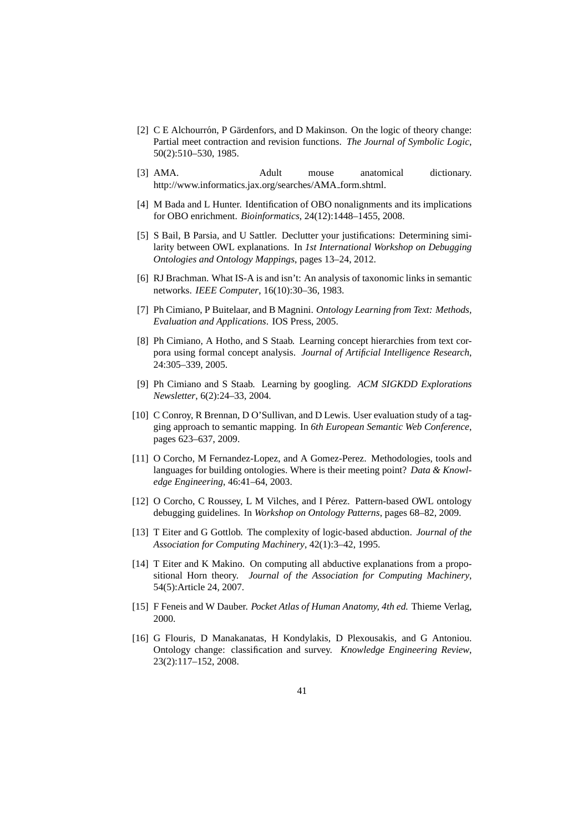- [2]  $\,$  C E Alchourrón, P Gärdenfors, and D Makinson. On the logic of theory change: Partial meet contraction and revision functions. *The Journal of Symbolic Logic*, 50(2):510–530, 1985.
- [3] AMA. Adult mouse anatomical dictionary. http://www.informatics.jax.org/searches/AMA form.shtml.
- [4] M Bada and L Hunter. Identification of OBO nonalignments and its implications for OBO enrichment. *Bioinformatics*, 24(12):1448–1455, 2008.
- [5] S Bail, B Parsia, and U Sattler. Declutter your justifications: Determining similarity between OWL explanations. In *1st International Workshop on Debugging Ontologies and Ontology Mappings*, pages 13–24, 2012.
- [6] RJ Brachman. What IS-A is and isn't: An analysis of taxonomic links in semantic networks. *IEEE Computer*, 16(10):30–36, 1983.
- [7] Ph Cimiano, P Buitelaar, and B Magnini. *Ontology Learning from Text: Methods, Evaluation and Applications*. IOS Press, 2005.
- [8] Ph Cimiano, A Hotho, and S Staab. Learning concept hierarchies from text corpora using formal concept analysis. *Journal of Artificial Intelligence Research*, 24:305–339, 2005.
- [9] Ph Cimiano and S Staab. Learning by googling. *ACM SIGKDD Explorations Newsletter*, 6(2):24–33, 2004.
- [10] C Conroy, R Brennan, D O'Sullivan, and D Lewis. User evaluation study of a tagging approach to semantic mapping. In *6th European Semantic Web Conference*, pages 623–637, 2009.
- [11] O Corcho, M Fernandez-Lopez, and A Gomez-Perez. Methodologies, tools and languages for building ontologies. Where is their meeting point? *Data & Knowledge Engineering*, 46:41–64, 2003.
- [12] O Corcho, C Roussey, L M Vilches, and I Pérez. Pattern-based OWL ontology debugging guidelines. In *Workshop on Ontology Patterns*, pages 68–82, 2009.
- [13] T Eiter and G Gottlob. The complexity of logic-based abduction. *Journal of the Association for Computing Machinery*, 42(1):3–42, 1995.
- [14] T Eiter and K Makino. On computing all abductive explanations from a propositional Horn theory. *Journal of the Association for Computing Machinery*, 54(5):Article 24, 2007.
- [15] F Feneis and W Dauber. *Pocket Atlas of Human Anatomy, 4th ed.* Thieme Verlag, 2000.
- [16] G Flouris, D Manakanatas, H Kondylakis, D Plexousakis, and G Antoniou. Ontology change: classification and survey. *Knowledge Engineering Review*, 23(2):117–152, 2008.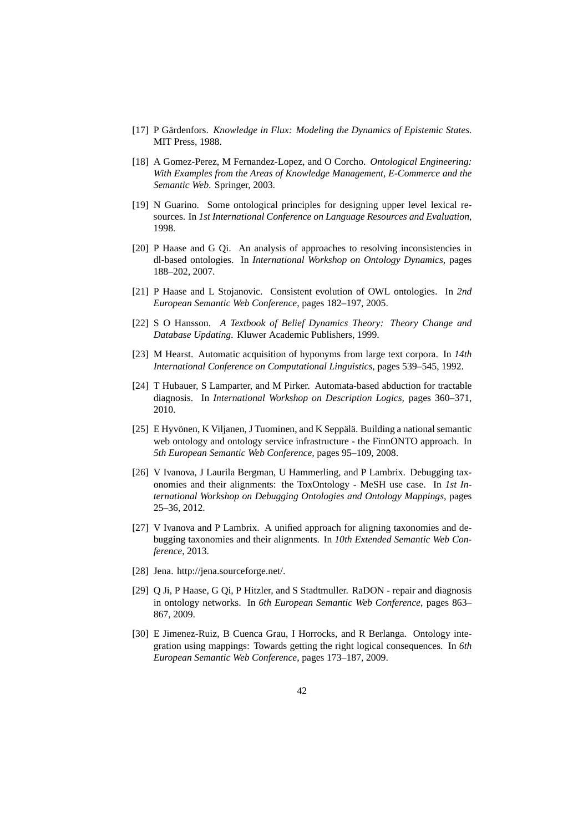- [17] P Gärdenfors. *Knowledge in Flux: Modeling the Dynamics of Epistemic States*. MIT Press, 1988.
- [18] A Gomez-Perez, M Fernandez-Lopez, and O Corcho. *Ontological Engineering: With Examples from the Areas of Knowledge Management, E-Commerce and the Semantic Web*. Springer, 2003.
- [19] N Guarino. Some ontological principles for designing upper level lexical resources. In *1st International Conference on Language Resources and Evaluation*, 1998.
- [20] P Haase and G Qi. An analysis of approaches to resolving inconsistencies in dl-based ontologies. In *International Workshop on Ontology Dynamics*, pages 188–202, 2007.
- [21] P Haase and L Stojanovic. Consistent evolution of OWL ontologies. In *2nd European Semantic Web Conference*, pages 182–197, 2005.
- [22] S O Hansson. *A Textbook of Belief Dynamics Theory: Theory Change and Database Updating*. Kluwer Academic Publishers, 1999.
- [23] M Hearst. Automatic acquisition of hyponyms from large text corpora. In *14th International Conference on Computational Linguistics*, pages 539–545, 1992.
- [24] T Hubauer, S Lamparter, and M Pirker. Automata-based abduction for tractable diagnosis. In *International Workshop on Description Logics*, pages 360–371, 2010.
- $[25]$  E Hyvönen, K Viljanen, J Tuominen, and K Seppälä. Building a national semantic web ontology and ontology service infrastructure - the FinnONTO approach. In *5th European Semantic Web Conference*, pages 95–109, 2008.
- [26] V Ivanova, J Laurila Bergman, U Hammerling, and P Lambrix. Debugging taxonomies and their alignments: the ToxOntology - MeSH use case. In *1st International Workshop on Debugging Ontologies and Ontology Mappings*, pages 25–36, 2012.
- [27] V Ivanova and P Lambrix. A unified approach for aligning taxonomies and debugging taxonomies and their alignments. In *10th Extended Semantic Web Conference*, 2013.
- [28] Jena. http://jena.sourceforge.net/.
- [29] Q Ji, P Haase, G Qi, P Hitzler, and S Stadtmuller. RaDON repair and diagnosis in ontology networks. In *6th European Semantic Web Conference*, pages 863– 867, 2009.
- [30] E Jimenez-Ruiz, B Cuenca Grau, I Horrocks, and R Berlanga. Ontology integration using mappings: Towards getting the right logical consequences. In *6th European Semantic Web Conference*, pages 173–187, 2009.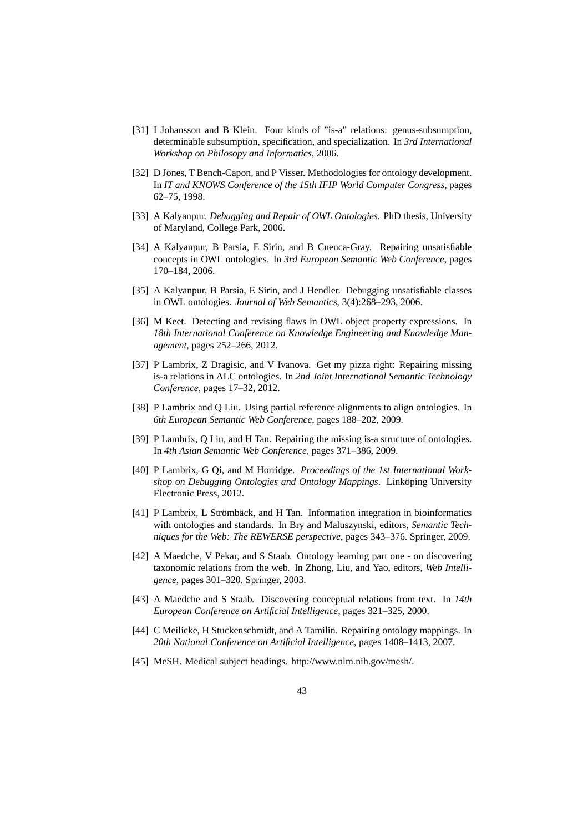- [31] I Johansson and B Klein. Four kinds of "is-a" relations: genus-subsumption, determinable subsumption, specification, and specialization. In *3rd International Workshop on Philosopy and Informatics*, 2006.
- [32] D Jones, T Bench-Capon, and P Visser. Methodologies for ontology development. In *IT and KNOWS Conference of the 15th IFIP World Computer Congress*, pages 62–75, 1998.
- [33] A Kalyanpur. *Debugging and Repair of OWL Ontologies*. PhD thesis, University of Maryland, College Park, 2006.
- [34] A Kalyanpur, B Parsia, E Sirin, and B Cuenca-Gray. Repairing unsatisfiable concepts in OWL ontologies. In *3rd European Semantic Web Conference*, pages 170–184, 2006.
- [35] A Kalyanpur, B Parsia, E Sirin, and J Hendler. Debugging unsatisfiable classes in OWL ontologies. *Journal of Web Semantics*, 3(4):268–293, 2006.
- [36] M Keet. Detecting and revising flaws in OWL object property expressions. In *18th International Conference on Knowledge Engineering and Knowledge Management*, pages 252–266, 2012.
- [37] P Lambrix, Z Dragisic, and V Ivanova. Get my pizza right: Repairing missing is-a relations in ALC ontologies. In *2nd Joint International Semantic Technology Conference*, pages 17–32, 2012.
- [38] P Lambrix and Q Liu. Using partial reference alignments to align ontologies. In *6th European Semantic Web Conference*, pages 188–202, 2009.
- [39] P Lambrix, Q Liu, and H Tan. Repairing the missing is-a structure of ontologies. In *4th Asian Semantic Web Conference*, pages 371–386, 2009.
- [40] P Lambrix, G Qi, and M Horridge. *Proceedings of the 1st International Workshop on Debugging Ontologies and Ontology Mappings. Linkoping University* Electronic Press, 2012.
- [41] P Lambrix, L Strömbäck, and H Tan. Information integration in bioinformatics with ontologies and standards. In Bry and Maluszynski, editors, *Semantic Techniques for the Web: The REWERSE perspective*, pages 343–376. Springer, 2009.
- [42] A Maedche, V Pekar, and S Staab. Ontology learning part one on discovering taxonomic relations from the web. In Zhong, Liu, and Yao, editors, *Web Intelligence*, pages 301–320. Springer, 2003.
- [43] A Maedche and S Staab. Discovering conceptual relations from text. In *14th European Conference on Artificial Intelligence*, pages 321–325, 2000.
- [44] C Meilicke, H Stuckenschmidt, and A Tamilin. Repairing ontology mappings. In *20th National Conference on Artificial Intelligence*, pages 1408–1413, 2007.
- [45] MeSH. Medical subject headings. http://www.nlm.nih.gov/mesh/.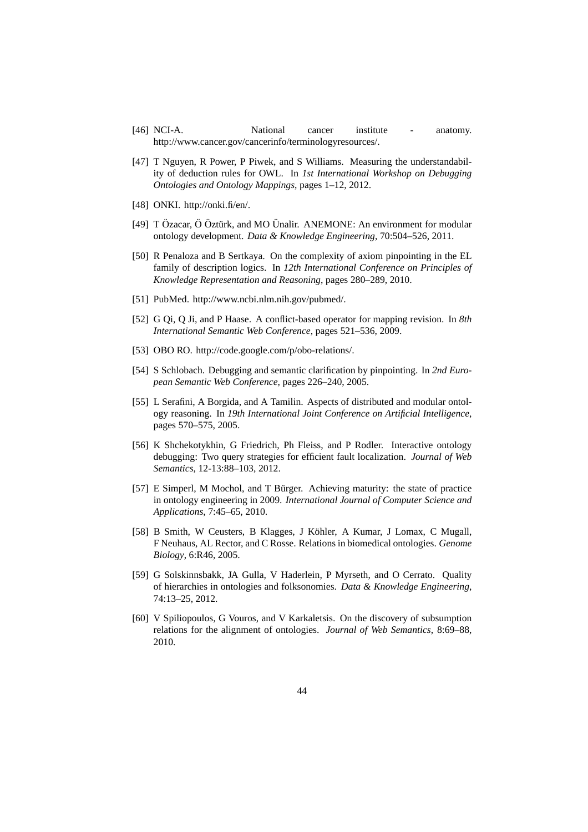- [46] NCI-A. National cancer institute anatomy. http://www.cancer.gov/cancerinfo/terminologyresources/.
- [47] T Nguyen, R Power, P Piwek, and S Williams. Measuring the understandability of deduction rules for OWL. In *1st International Workshop on Debugging Ontologies and Ontology Mappings*, pages 1–12, 2012.
- [48] ONKI. http://onki.fi/en/.
- $[49]$  T Özacar, Ö Öztürk, and MO Ünalir. ANEMONE: An environment for modular ontology development. *Data & Knowledge Engineering*, 70:504–526, 2011.
- [50] R Penaloza and B Sertkaya. On the complexity of axiom pinpointing in the EL family of description logics. In *12th International Conference on Principles of Knowledge Representation and Reasoning*, pages 280–289, 2010.
- [51] PubMed. http://www.ncbi.nlm.nih.gov/pubmed/.
- [52] G Qi, Q Ji, and P Haase. A conflict-based operator for mapping revision. In *8th International Semantic Web Conference*, pages 521–536, 2009.
- [53] OBO RO. http://code.google.com/p/obo-relations/.
- [54] S Schlobach. Debugging and semantic clarification by pinpointing. In *2nd European Semantic Web Conference*, pages 226–240, 2005.
- [55] L Serafini, A Borgida, and A Tamilin. Aspects of distributed and modular ontology reasoning. In *19th International Joint Conference on Artificial Intelligence*, pages 570–575, 2005.
- [56] K Shchekotykhin, G Friedrich, Ph Fleiss, and P Rodler. Interactive ontology debugging: Two query strategies for efficient fault localization. *Journal of Web Semantics*, 12-13:88–103, 2012.
- [57] E Simperl, M Mochol, and T Bürger. Achieving maturity: the state of practice in ontology engineering in 2009. *International Journal of Computer Science and Applications*, 7:45–65, 2010.
- [58] B Smith, W Ceusters, B Klagges, J Köhler, A Kumar, J Lomax, C Mugall, F Neuhaus, AL Rector, and C Rosse. Relations in biomedical ontologies. *Genome Biology*, 6:R46, 2005.
- [59] G Solskinnsbakk, JA Gulla, V Haderlein, P Myrseth, and O Cerrato. Quality of hierarchies in ontologies and folksonomies. *Data & Knowledge Engineering*, 74:13–25, 2012.
- [60] V Spiliopoulos, G Vouros, and V Karkaletsis. On the discovery of subsumption relations for the alignment of ontologies. *Journal of Web Semantics*, 8:69–88, 2010.